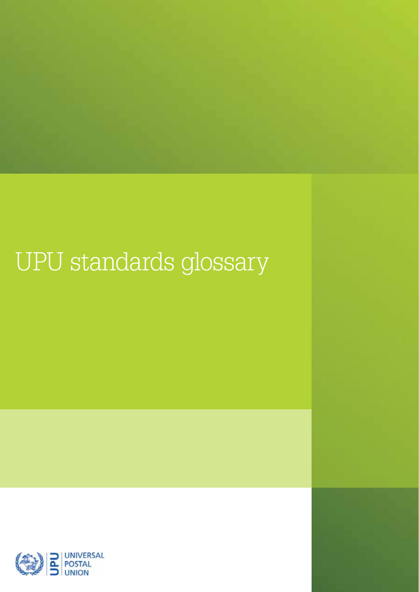# UPU standards glossary

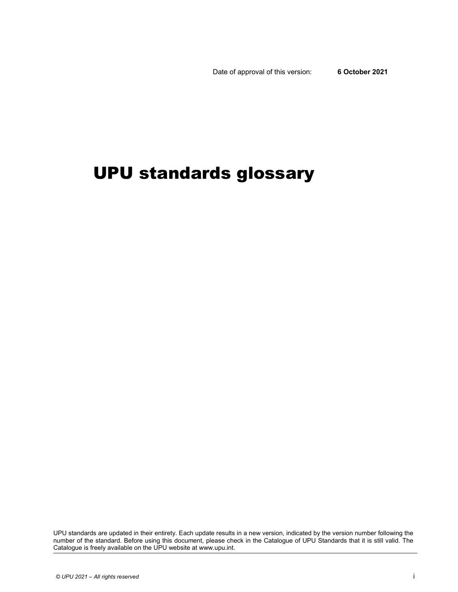Date of approval of this version: **6 October 2021** 

# UPU standards glossary

UPU standards are updated in their entirety. Each update results in a new version, indicated by the version number following the number of the standard. Before using this document, please check in the Catalogue of UPU Standards that it is still valid. The Catalogue is freely available on the UPU website at www.upu.int.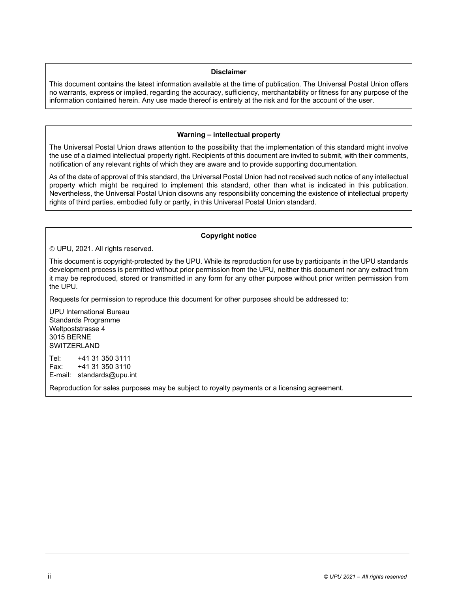# **Disclaimer**

This document contains the latest information available at the time of publication. The Universal Postal Union offers no warrants, express or implied, regarding the accuracy, sufficiency, merchantability or fitness for any purpose of the information contained herein. Any use made thereof is entirely at the risk and for the account of the user.

# **Warning – intellectual property**

The Universal Postal Union draws attention to the possibility that the implementation of this standard might involve the use of a claimed intellectual property right. Recipients of this document are invited to submit, with their comments, notification of any relevant rights of which they are aware and to provide supporting documentation.

As of the date of approval of this standard, the Universal Postal Union had not received such notice of any intellectual property which might be required to implement this standard, other than what is indicated in this publication. Nevertheless, the Universal Postal Union disowns any responsibility concerning the existence of intellectual property rights of third parties, embodied fully or partly, in this Universal Postal Union standard.

# **Copyright notice**

UPU, 2021. All rights reserved.

This document is copyright-protected by the UPU. While its reproduction for use by participants in the UPU standards development process is permitted without prior permission from the UPU, neither this document nor any extract from it may be reproduced, stored or transmitted in any form for any other purpose without prior written permission from the UPU.

Requests for permission to reproduce this document for other purposes should be addressed to:

UPU International Bureau Standards Programme Weltpoststrasse 4 3015 BERNE **SWITZERLAND** 

Tel: +41 31 350 3111 Fax: +41 31 350 3110 E-mail: standards@upu.int

Reproduction for sales purposes may be subject to royalty payments or a licensing agreement.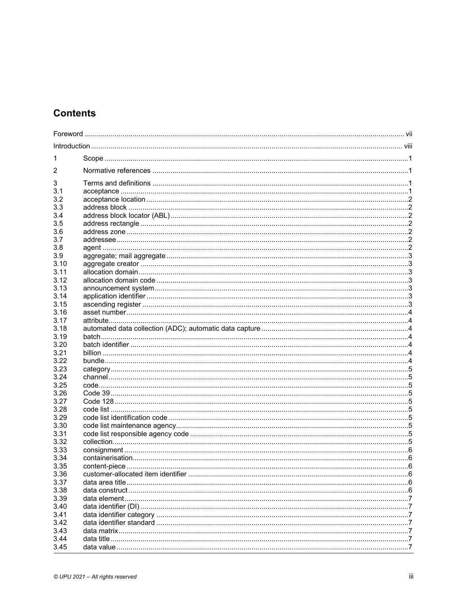# **Contents**

| 1<br>2<br>3<br>3.1<br>3.2<br>3.3<br>3.4<br>3.5<br>3.6<br>3.7<br>3.8<br>3.9<br>3.10<br>3.11<br>3.12<br>3.13<br>3.14<br>3.15<br>3.16<br>3.17<br>3.18<br>3.19<br>3.20<br>3.21<br>3.22<br>3.23<br>3.24<br>3.25<br>3.26<br>3.27<br>3.28<br>3.29<br>3.30<br>3.31<br>3.32<br>3.33<br>3.34<br>3.35<br>3.36<br>3.37<br>3.38<br>3.39<br>3.40<br>3.41<br>3.42<br>3.43<br>3.44<br>3.45 |  |  |
|----------------------------------------------------------------------------------------------------------------------------------------------------------------------------------------------------------------------------------------------------------------------------------------------------------------------------------------------------------------------------|--|--|
|                                                                                                                                                                                                                                                                                                                                                                            |  |  |
|                                                                                                                                                                                                                                                                                                                                                                            |  |  |
|                                                                                                                                                                                                                                                                                                                                                                            |  |  |
|                                                                                                                                                                                                                                                                                                                                                                            |  |  |
|                                                                                                                                                                                                                                                                                                                                                                            |  |  |
|                                                                                                                                                                                                                                                                                                                                                                            |  |  |
|                                                                                                                                                                                                                                                                                                                                                                            |  |  |
|                                                                                                                                                                                                                                                                                                                                                                            |  |  |
|                                                                                                                                                                                                                                                                                                                                                                            |  |  |
|                                                                                                                                                                                                                                                                                                                                                                            |  |  |
|                                                                                                                                                                                                                                                                                                                                                                            |  |  |
|                                                                                                                                                                                                                                                                                                                                                                            |  |  |
|                                                                                                                                                                                                                                                                                                                                                                            |  |  |
|                                                                                                                                                                                                                                                                                                                                                                            |  |  |
|                                                                                                                                                                                                                                                                                                                                                                            |  |  |
|                                                                                                                                                                                                                                                                                                                                                                            |  |  |
|                                                                                                                                                                                                                                                                                                                                                                            |  |  |
|                                                                                                                                                                                                                                                                                                                                                                            |  |  |
|                                                                                                                                                                                                                                                                                                                                                                            |  |  |
|                                                                                                                                                                                                                                                                                                                                                                            |  |  |
|                                                                                                                                                                                                                                                                                                                                                                            |  |  |
|                                                                                                                                                                                                                                                                                                                                                                            |  |  |
|                                                                                                                                                                                                                                                                                                                                                                            |  |  |
|                                                                                                                                                                                                                                                                                                                                                                            |  |  |
|                                                                                                                                                                                                                                                                                                                                                                            |  |  |
|                                                                                                                                                                                                                                                                                                                                                                            |  |  |
|                                                                                                                                                                                                                                                                                                                                                                            |  |  |
|                                                                                                                                                                                                                                                                                                                                                                            |  |  |
|                                                                                                                                                                                                                                                                                                                                                                            |  |  |
|                                                                                                                                                                                                                                                                                                                                                                            |  |  |
|                                                                                                                                                                                                                                                                                                                                                                            |  |  |
|                                                                                                                                                                                                                                                                                                                                                                            |  |  |
|                                                                                                                                                                                                                                                                                                                                                                            |  |  |
|                                                                                                                                                                                                                                                                                                                                                                            |  |  |
|                                                                                                                                                                                                                                                                                                                                                                            |  |  |
|                                                                                                                                                                                                                                                                                                                                                                            |  |  |
|                                                                                                                                                                                                                                                                                                                                                                            |  |  |
|                                                                                                                                                                                                                                                                                                                                                                            |  |  |
|                                                                                                                                                                                                                                                                                                                                                                            |  |  |
|                                                                                                                                                                                                                                                                                                                                                                            |  |  |
|                                                                                                                                                                                                                                                                                                                                                                            |  |  |
|                                                                                                                                                                                                                                                                                                                                                                            |  |  |
|                                                                                                                                                                                                                                                                                                                                                                            |  |  |
|                                                                                                                                                                                                                                                                                                                                                                            |  |  |
|                                                                                                                                                                                                                                                                                                                                                                            |  |  |
|                                                                                                                                                                                                                                                                                                                                                                            |  |  |
|                                                                                                                                                                                                                                                                                                                                                                            |  |  |
|                                                                                                                                                                                                                                                                                                                                                                            |  |  |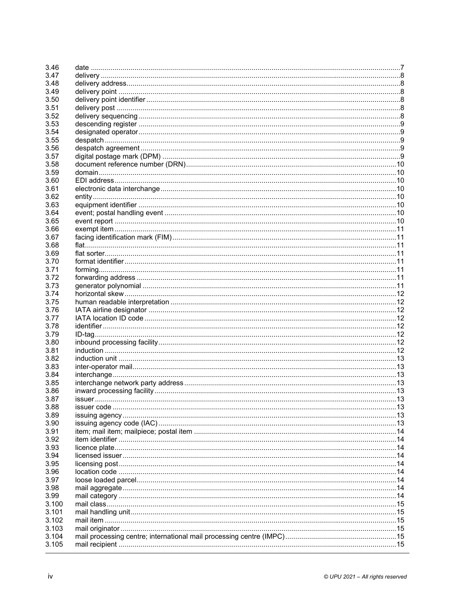| 3.46  |        |  |
|-------|--------|--|
| 3.47  |        |  |
| 3.48  |        |  |
| 3.49  |        |  |
| 3.50  |        |  |
| 3.51  |        |  |
| 3.52  |        |  |
| 3.53  |        |  |
| 3.54  |        |  |
| 3.55  |        |  |
| 3.56  |        |  |
| 3.57  |        |  |
| 3.58  |        |  |
| 3.59  |        |  |
|       |        |  |
| 3.60  |        |  |
| 3.61  |        |  |
| 3.62  |        |  |
| 3.63  |        |  |
| 3.64  |        |  |
| 3.65  |        |  |
| 3.66  |        |  |
| 3.67  |        |  |
| 3.68  |        |  |
| 3.69  |        |  |
| 3.70  |        |  |
| 3.71  |        |  |
| 3.72  |        |  |
| 3.73  |        |  |
| 3.74  |        |  |
| 3.75  |        |  |
| 3.76  |        |  |
| 3.77  |        |  |
| 3.78  |        |  |
| 3.79  |        |  |
| 3.80  |        |  |
| 3.81  |        |  |
| 3.82  |        |  |
| 3.83  |        |  |
| 3.84  |        |  |
| 3.85  |        |  |
|       |        |  |
| 3.86  |        |  |
| 3.87  | issuer |  |
| 3.88  |        |  |
| 3.89  |        |  |
| 3.90  |        |  |
| 3.91  |        |  |
| 3.92  |        |  |
| 3.93  |        |  |
| 3.94  |        |  |
| 3.95  |        |  |
| 3.96  |        |  |
| 3.97  |        |  |
| 3.98  |        |  |
| 3.99  |        |  |
| 3.100 |        |  |
| 3.101 |        |  |
| 3.102 |        |  |
| 3.103 |        |  |
| 3.104 |        |  |
| 3.105 |        |  |
|       |        |  |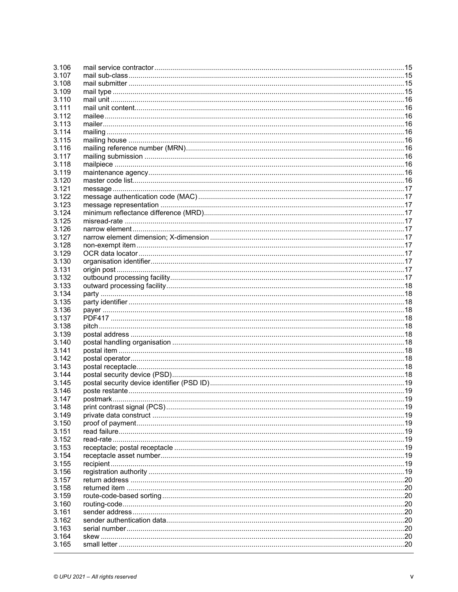| 3.106 |  |
|-------|--|
| 3.107 |  |
| 3.108 |  |
| 3.109 |  |
| 3.110 |  |
| 3.111 |  |
| 3.112 |  |
| 3.113 |  |
| 3.114 |  |
| 3.115 |  |
| 3.116 |  |
| 3.117 |  |
| 3.118 |  |
| 3.119 |  |
|       |  |
| 3.120 |  |
| 3.121 |  |
| 3.122 |  |
| 3.123 |  |
| 3.124 |  |
| 3.125 |  |
| 3.126 |  |
| 3.127 |  |
| 3.128 |  |
| 3.129 |  |
| 3.130 |  |
| 3.131 |  |
| 3.132 |  |
| 3.133 |  |
| 3.134 |  |
| 3.135 |  |
| 3.136 |  |
| 3.137 |  |
| 3.138 |  |
| 3.139 |  |
| 3.140 |  |
| 3.141 |  |
| 3.142 |  |
| 3.143 |  |
| 3.144 |  |
| 3.145 |  |
| 3.146 |  |
|       |  |
| 3.147 |  |
| 3.148 |  |
| 3.149 |  |
| 3.150 |  |
| 3.151 |  |
| 3.152 |  |
| 3.153 |  |
| 3.154 |  |
| 3.155 |  |
| 3.156 |  |
| 3.157 |  |
| 3.158 |  |
| 3.159 |  |
| 3.160 |  |
| 3.161 |  |
| 3.162 |  |
| 3.163 |  |
| 3.164 |  |
| 3.165 |  |
|       |  |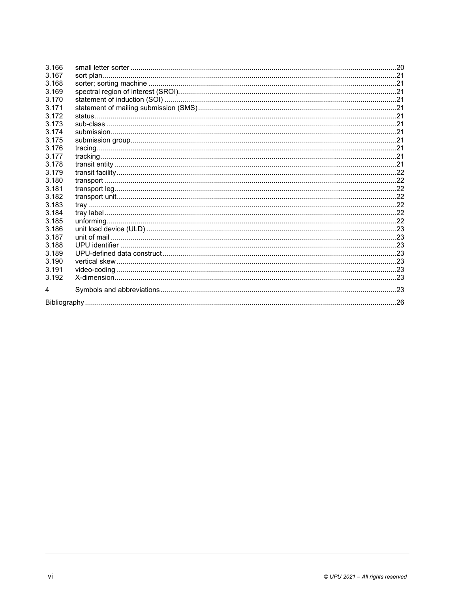| 3.166   |  |  |
|---------|--|--|
| 3.167   |  |  |
| 3.168   |  |  |
| 3.169   |  |  |
| 3.170   |  |  |
| 3.171   |  |  |
| 3.172   |  |  |
| 3.173   |  |  |
| 3.174   |  |  |
| 3.175   |  |  |
| 3.176   |  |  |
| 3 1 7 7 |  |  |
| 3.178   |  |  |
| 3.179   |  |  |
| 3.180   |  |  |
| 3.181   |  |  |
| 3.182   |  |  |
| 3.183   |  |  |
| 3.184   |  |  |
| 3.185   |  |  |
| 3.186   |  |  |
| 3.187   |  |  |
| 3.188   |  |  |
| 3.189   |  |  |
| 3.190   |  |  |
| 3.191   |  |  |
| 3.192   |  |  |
| 4       |  |  |
|         |  |  |
|         |  |  |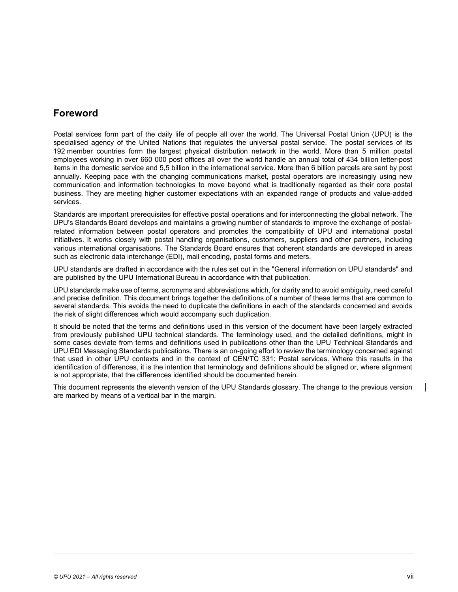# **Foreword**

Postal services form part of the daily life of people all over the world. The Universal Postal Union (UPU) is the specialised agency of the United Nations that regulates the universal postal service. The postal services of its 192 member countries form the largest physical distribution network in the world. More than 5 million postal employees working in over 660 000 post offices all over the world handle an annual total of 434 billion letter-post items in the domestic service and 5,5 billion in the international service. More than 6 billion parcels are sent by post annually. Keeping pace with the changing communications market, postal operators are increasingly using new communication and information technologies to move beyond what is traditionally regarded as their core postal business. They are meeting higher customer expectations with an expanded range of products and value-added services.

Standards are important prerequisites for effective postal operations and for interconnecting the global network. The UPU's Standards Board develops and maintains a growing number of standards to improve the exchange of postalrelated information between postal operators and promotes the compatibility of UPU and international postal initiatives. It works closely with postal handling organisations, customers, suppliers and other partners, including various international organisations. The Standards Board ensures that coherent standards are developed in areas such as electronic data interchange (EDI), mail encoding, postal forms and meters.

UPU standards are drafted in accordance with the rules set out in the "General information on UPU standards" and are published by the UPU International Bureau in accordance with that publication.

UPU standards make use of terms, acronyms and abbreviations which, for clarity and to avoid ambiguity, need careful and precise definition. This document brings together the definitions of a number of these terms that are common to several standards. This avoids the need to duplicate the definitions in each of the standards concerned and avoids the risk of slight differences which would accompany such duplication.

It should be noted that the terms and definitions used in this version of the document have been largely extracted from previously published UPU technical standards. The terminology used, and the detailed definitions, might in some cases deviate from terms and definitions used in publications other than the UPU Technical Standards and UPU EDI Messaging Standards publications. There is an on-going effort to review the terminology concerned against that used in other UPU contexts and in the context of CEN/TC 331: Postal services. Where this results in the identification of differences, it is the intention that terminology and definitions should be aligned or, where alignment is not appropriate, that the differences identified should be documented herein.

This document represents the eleventh version of the UPU Standards glossary. The change to the previous version are marked by means of a vertical bar in the margin.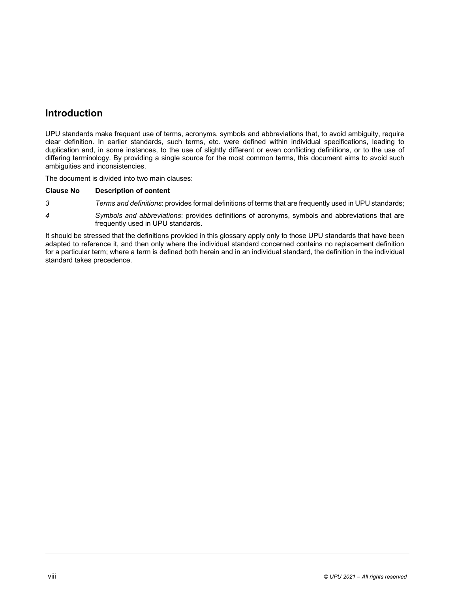# **Introduction**

UPU standards make frequent use of terms, acronyms, symbols and abbreviations that, to avoid ambiguity, require clear definition. In earlier standards, such terms, etc. were defined within individual specifications, leading to duplication and, in some instances, to the use of slightly different or even conflicting definitions, or to the use of differing terminology. By providing a single source for the most common terms, this document aims to avoid such ambiguities and inconsistencies.

The docu[ment is divided into two m](#page-9-0)ain clauses:

# **Clause N[o Description of content](#page-31-0)**

- *3 Terms and definitions*: provides formal definitions of terms that are frequently used in UPU standards;
- *4 Symbols and abbreviations*: provides definitions of acronyms, symbols and abbreviations that are frequently used in UPU standards.

It should be stressed that the definitions provided in this glossary apply only to those UPU standards that have been adapted to reference it, and then only where the individual standard concerned contains no replacement definition for a particular term; where a term is defined both herein and in an individual standard, the definition in the individual standard takes precedence.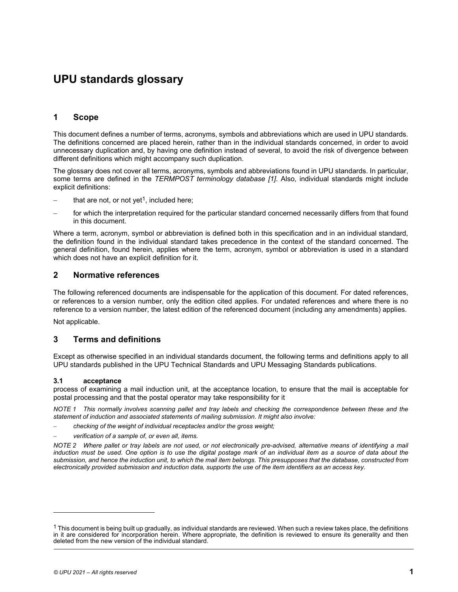# **UPU standards glossary**

# **1 Scope**

This document defines a number of terms, acronyms, symbols and abbreviations which are used in UPU standards. The definitions concerned are placed herein, rather than in the individual standards concerned, in order to avoid unnecessary duplication and, by having one definition instead of s[ever](#page-34-0)al, to avoid the risk of divergence between different definitions which might accompany such duplication.

The glossary does not c[ov](#page-9-1)er all terms, acronyms, symbols and abbreviations found in UPU standards. In particular, some terms are defined in the *TERMPOST terminology database [1]*. Also, individual standards might include explicit definitions:

- that are not, or not yet<sup>1</sup>, included here;
- for which the interpretation required for the particular standard concerned necessarily differs from that found in this document.

Where a term, acronym, symbol or abbreviation is defined both in this specification and in an individual standard, the definition found in the individual standard takes precedence in the context of the standard concerned. The general definition, found herein, applies where the term, acronym, symbol or abbreviation is used in a standard which does not have an explicit definition for it.

# **2 Normative references**

The following referenced documents are indispensable for the application of this document. For dated references, or references to a version number, only the edition cited applies. For undated references and where there is no reference to a version number, the latest edition of the referenced document (including any amendments) applies.

<span id="page-9-0"></span>Not applicable.

# **3 Terms and definitions**

Except as otherwise specified in an individual standards document, the following terms and definitions apply to all UPU standards published in the UPU Technical Standards and UPU Messaging Standards publications.

# **3.1 acceptance**

process of examining a mail induction unit, at the acceptance location, to ensure that the mail is acceptable for postal processing and that the postal operator may take responsibility for it

*NOTE 1 This normally involves scanning pallet and tray labels and checking the correspondence between these and the statement of induction and associated statements of mailing submission. It might also involve:* 

*checking of the weight of individual receptacles and/or the gross weight;* 

*verification of a sample of, or even all, items.* 

*NOTE 2 Where pallet or tray labels are not used, or not electronically pre-advised, alternative means of identifying a mail*  induction must be used. One option is to use the digital postage mark of an individual item as a source of data about the *submission, and hence the induction unit, to which the mail item belongs. This presupposes that the database, constructed from electronically provided submission and induction data, supports the use of the item identifiers as an access key.* 

 $\overline{a}$ 

<span id="page-9-1"></span> $1$  This document is being built up gradually, as individual standards are reviewed. When such a review takes place, the definitions in it are considered for incorporation herein. Where appropriate, the definition is reviewed to ensure its generality and then deleted from the new version of the individual standard.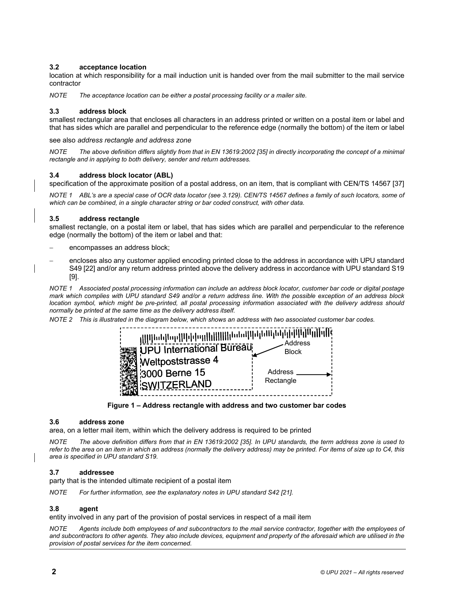# **3.2 acceptance location**

location at which responsibility for a mail induction unit is handed over from the mail submitter to the mail service contractor

*NOTE The acceptance location can be either a postal processing facility or a mailer site.* 

# **3.3 address block**

smallest rectangular area that encloses all characters in an address printed or written on a postal item or label and that has sides which are parallel and perpendicular to the refere[nce ed](#page-35-0)ge (normally the bottom) of the item or label

<span id="page-10-1"></span>see also *address rectangle and address zone* 

*NOTE The above definition differs slightly from that in EN 13619:2002 [35] in directly incorporating the concept of a mini[mal](#page-35-1)  rectangle and in applying to both delivery, sender and return addresses.* 

# **3.4 address block locator (ABL)**

specification of the approximate position of a postal address, on an item, that is compliant with CEN/TS 14567 [37]

*NOTE 1 ABL's are a special case of OCR data locator (see 3.129). CEN/TS 14567 defines a family of such locators, some of which can be combined, in a single character string or bar coded construct, with other data.* 

# **3.5 address rectangle**

smallest rectangle, on a postal item or label, that has sides which are parallel and perpendicular to the reference edge (normally the bottom) of the item or label and that:

- [enco](#page-34-1)mpasses an address block;
- encloses also any customer applied encoding printed close to the address in accordance with UPU standard S49 [22] and/or any return address printed above the delivery address in accordance with UPU standard S19 [9].

*NOTE 1 Associated postal processing information can include an address block locator, customer bar code or digital postage mark which complies with UPU standard S49 and/or a return address line. With the possible exception of an address block location symbol, which might be pre-printed, all postal processing information associated with the delivery address should normally be printed at the same time as the delivery address itself.* 

*NOTE 2 This is illustrated in the diagram below, which shows an address with two associated customer bar codes.* 



**Figure 1 – Address rectangle with address and two customer bar codes** 

# **3.6 address zone**

area, on a letter mail item, within which the delivery addres[s is re](#page-35-0)quired to be printed

The above definition differs from that in EN 13619:2002 [35]. In UPU standards, the term address zone is used to *refer to the area on an item in which an address (normally the delivery address) may be printed. For items of size up to C4, this area is specified in UPU standard S19.* 

# **3.7 addressee**

party that is the intended ultimate recipient of a postal item

<span id="page-10-0"></span>*NOTE For further information, see the explanatory notes in UPU standard S4[2 \[21\]](#page-34-3).* 

# **3.8 agent**

entity involved in any part of the provision of postal services in respect of a mail item

Agents include both employees of and subcontractors to the mail service contractor, together with the employees of *and subcontractors to other agents. They also include devices, equipment and property of the aforesaid which are utilised in the provision of postal services for the item concerned.*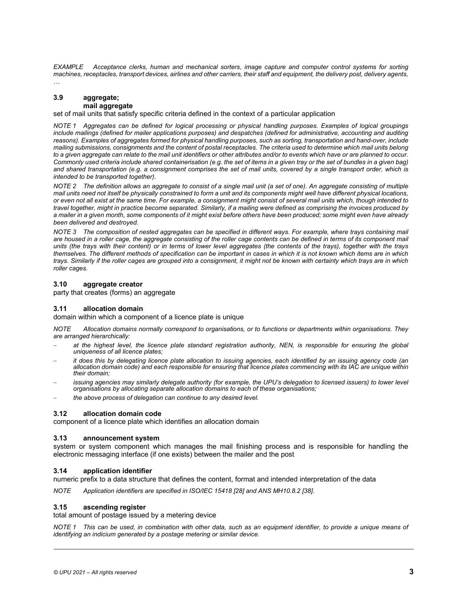<span id="page-11-0"></span>*EXAMPLE Acceptance clerks, human and mechanical sorters, image capture and computer control systems for sorting machines, receptacles, transport devices, airlines and other carriers, their staff and equipment, the delivery post, delivery agents, …* 

# **3.9 aggregate; mail aggregate**

set of mail units that satisfy specific criteria defined in the context of a particular application

*NOTE 1 Aggregates can be defined for logical processing or physical handling purposes. Examples of logical groupings include mailings (defined for mailer applications purposes) and despatches (defined for administrative, accounting and auditing reasons). Examples of aggregates formed for physical handling purposes, such as sorting, transportation and hand-over, include mailing submissions, consignments and the content of postal receptacles. The criteria used to determine which mail units belong to a given aggregate can relate to the mail unit identifiers or other attributes and/or to events which have or are planned to occur. Commonly used criteria include shared containerisation (e.g. the set of items in a given tray or the set of bundles in a given bag) and shared transportation (e.g. a consignment comprises the set of mail units, covered by a single transport order, which is intended to be transported together).* 

*NOTE 2 The definition allows an aggregate to consist of a single mail unit (a set of one). An aggregate consisting of multiple mail units need not itself be physically constrained to form a unit and its components might well have different physical locations, or even not all exist at the same time. For example, a consignment might consist of several mail units which, though intended to travel together, might in practice become separated. Similarly, if a mailing were defined as comprising the invoices produced by a mailer in a given month, some components of it might exist before others have been produced; some might even have already been delivered and destroyed.* 

*NOTE 3 The composition of nested aggregates can be specified in different ways. For example, where trays containing mail are housed in a roller cage, the aggregate consisting of the roller cage contents can be defined in terms of its component mail units (the trays with their content) or in terms of lower level aggregates (the contents of the trays), together with the trays themselves. The different methods of specification can be important in cases in which it is not known which items are in which trays. Similarly if the roller cages are grouped into a consignment, it might not be known with certainty which trays are in which roller cages.* 

#### **3.10 aggregate creator**

party that creates (forms) an aggregate

# **3.11 allocation domain**

domain within which a component of a licence plate is unique

*NOTE Allocation domains normally correspond to organisations, or to functions or departments within organisations. They are arranged hierarchically:* 

- *at the highest level, the licence plate standard registration authority, NEN, is responsible for ensuring the global uniqueness of all licence plates;*
- *it does this by delegating licence plate allocation to issuing agencies, each identified by an issuing agency code (an allocation domain code) and each responsible for ensuring that licence plates commencing with its IAC are unique within their domain;*
- *issuing agencies may similarly delegate authority (for example, the UPU's delegation to licensed issuers) to lower level organisations by allocating separate allocation domains to each of these organisations;*
- *the above process of delegation can continue to any desired level.*

# **3.12 allocation domain code**

component of a licence plate which identifies an allocation domain

#### **3.13 announcement system**

system or system component which manages the mail finishing process and is responsible for handling the electronic messaging interface (if one exists) between the mailer and the post

#### **3.14 application identifier**

numeric prefix to a data structure that defines the conte[nt, fo](#page-35-2)rmat and intended [inter](#page-35-3)pretation of the data

*NOTE Application identifiers are specified in ISO/IEC 15418 [28] and ANS MH10.8.2 [38].* 

#### **3.15 ascending register**

total amount of postage issued by a metering device

*NOTE 1 This can be used, in combination with other data, such as an equipment identifier, to provide a unique means of identifying an indicium generated by a postage metering or similar device.*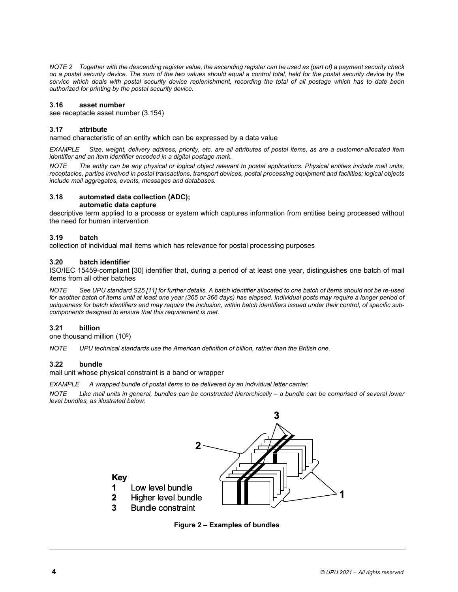*NOTE 2 Together with the descending register value, the ascending register can be used as (part of) a payment security check on a postal security device. The sum of the two values should equal a control total, held for the postal security device by the service which deals with p[ostal sec](#page-27-0)urity device replenishment, recording the total of all postage which has to date been authorized for printing by the postal security device.* 

# **3.16 asset number**

see receptacle asset number (3.154)

# **3.17 attribute**

named characteristic of an entity which can be expressed by a data value

*EXAMPLE Size, weight, delivery address, priority, etc. are all attributes of postal items, as are a customer-allocated item identifier and an item identifier encoded in a digital postage mark.* 

<span id="page-12-0"></span>*NOTE The entity can be any physical or logical object relevant to postal applications. Physical entities include mail units, receptacles, parties involved in postal transactions, transport devices, postal processing equipment and facilities; logical objects include mail aggregates, events, messages and databases.* 

# **3.18 automated data collection (ADC);**

# **automatic data capture**

descriptive term applied to a process or system which captures information from entities being processed without the need for human intervention

# **3.19 batch**

collection of individual [mail](#page-35-4) items which has relevance for postal processing purposes

# **3.20 batch identifier**

ISO/IEC 15459-compliant [\[30\] i](#page-34-4)dentifier that, during a period of at least one year, distinguishes one batch of mail items from all other batches

*NOTE See UPU standard S25 [11] for further details. A batch identifier allocated to one batch of items should not be re-used*  for another batch of items until at least one year (365 or 366 days) has elapsed. Individual posts may require a longer period of *uniqueness for batch identifiers and may require the inclusion, within batch identifiers issued under their control, of specific subcomponents designed to ensure that this requirement is met.* 

# **3.21 billion**

one thousand million (109)

*NOTE UPU technical standards use the American definition of billion, rather than the British one.* 

# **3.22 bundle**

mail unit whose physical constraint is a band or wrapper

*EXAMPLE A wrapped bundle of postal items to be delivered by an individual letter carrier.* 

*NOTE Like mail units in general, bundles can be constructed hierarchically – a bundle can be comprised of several lower level bundles, as illustrated below:* 



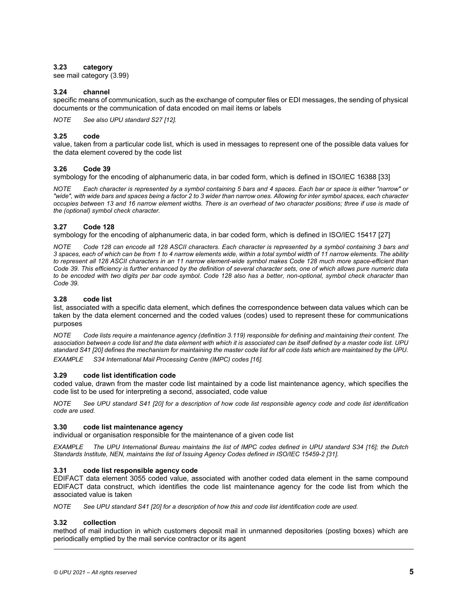# **3.23 category**

see mail category (3.99)

# **3.24 channel**

specific means of communication, such as the exchange of computer files or EDI messages, the sending of physical documents or the communication of data encoded on mail items or labels

*NOTE See also UPU standard S27 [12].* 

# **3.25 code**

value, taken from a particular code list, which is used in messages to represent one of the possible data [values](#page-35-5) for the data element covered by the code list

# **3.26 Code 39**

symbology for the encoding of alphanumeric data, in bar coded form, which is defined in ISO/IEC 16388 [33]

*NOTE Each character is represented by a symbol containing 5 bars and 4 spaces. Each bar or space is either "narrow" or "wide", with wide bars and spaces being a factor 2 to 3 wider than narrow ones. Allowing for inter symbol spaces, each character occupies between 13 and 16 narrow element widths. There is an overhead of two character positions; three if use is made of the (optional) symbol check character.* 

# **3.27 Code 128**

symbology for the encoding of alphanumeric data, in bar coded form, which is defined in ISO/IEC 15417 [27]

Code 128 can encode all 128 ASCII characters. Each character is represented by a symbol containing 3 bars and *3 spaces, each of which can be from 1 to 4 narrow elements wide, within a total symbol width of 11 narrow elements. The ability to represent all 128 ASCII characters in an 11 narrow element-wide symbol makes Code 128 much more space-efficient than Code 39. This efficiency is further enhanced by the definition of several character sets, one of which allows pure numeric data to be encoded with two digits per bar code symbol. Code 128 also has a better, non-optional, symbol check character than Code 39.* 

# **3.28 code list**

list, associated with a specific data element, which defines the correspondence between data values which can be taken by the data element concerned and the coded [values](#page-24-0) (codes) used to represent these for communications purposes

*NOTE [Co](#page-34-5)de lists require a maintenance agency (definition 3.119) responsible for defining and maintaining their content. The association between a code list and the data element with which it is [assoc](#page-34-6)iated can be itself defined by a master code list. UPU standard S41 [20] defines the mechanism for maintaining the master code list for all code lists which are maintained by the UPU. EXAMPLE S34 International Mail Processing Centre (IMPC) codes [16].* 

# **3.29 code list identification code**

coded value, drawn from the master code list maintained by a code list maintenance agency, which specifies the code list to be used for inter[pretin](#page-34-5)g a second, associated, code value

<span id="page-13-0"></span>*NOTE See UPU standard S41 [20] for a description of how code list responsible agency code and code list identification code are used.* 

# **3.30 code list maintenance agency**

individual or organisation responsible for the maintenance of a given code list

*EXAMPLE The UPU International Bureau maintains the list of IMPC codes defined in UPU [stand](#page-35-6)ard S34 [16]; the Dutch Standards Institute, NEN, maintains the list of Issuing Agency Codes defined in ISO/IEC 15459-2 [31].* 

# **3.31 code list responsible agency code**

EDIFACT data element 3055 coded value, associated with another coded data element in the same compound EDIFACT data construct, which identifies the code list maintenance agency for the code list from which the associated value is taken

*NOTE See UPU standard [S41 \[](#page-34-5)20] for a description of how this and code list identification code are used.* 

# **3.32 collection**

method of mail induction in which customers deposit mail in unmanned depositories (posting boxes) which are periodically emptied by the mail service contractor or its agent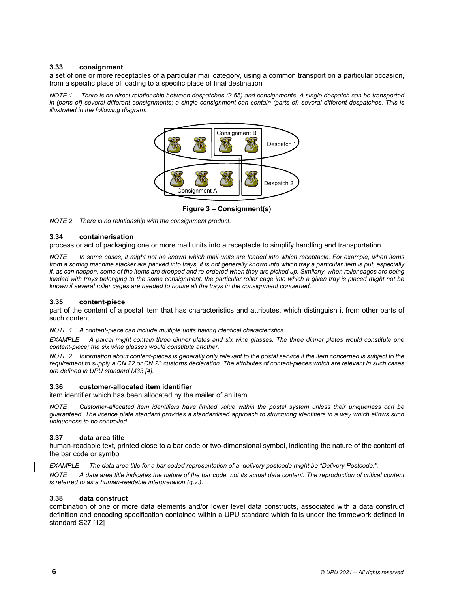# <span id="page-14-0"></span>**3.33 consignment**

a set of one or more receptacles of a particular mail category, using a common transport on a particular occasion, from a specific place of loading to a specific place of final destination

*NOTE 1 There is no direct relationship between despatches (3.55) and consignments. A single despatch can be transported in (parts of) several different consignments; a single consignment can contain (parts of) several different despatches. This is illustrated in the following diagram:* 



**Figure 3 – Consignment(s)** 

*NOTE 2 There is no relationship with the consignment product.* 

# **3.34 containerisation**

process or act of packaging one or more mail units into a receptacle to simplify handling and transportation

*NOTE In some cases, it might not be known which mail units are loaded into which receptacle. For example, when items from a sorting machine stacker are packed into trays, it is not generally known into which tray a particular item is put, especially if, as can happen, some of the items are dropped and re-ordered when they are picked up. Similarly, when roller cages are being* loaded with trays belonging to the same consignment, the particular roller cage into which a given tray is placed might not be *known if several roller cages are needed to house all the trays in the consignment concerned.* 

# **3.35 content-piece**

part of the content of a postal item that has characteristics and attributes, which distinguish it from other parts of such content

*NOTE 1 A content-piece can include multiple units having identical characteristics.* 

*EXAMPLE A parcel might contain three dinner plates and six wine glasses. The three dinner plates would constitute one content-piece; the six wine glasses would constitute another.* 

*NOTE 2 Information about [conte](#page-34-7)nt-pieces is generally only relevant to the postal service if the item concerned is subject to the requirement to supply a CN 22 or CN 23 customs declaration. The attributes of content-pieces which are relevant in such cases are defined in UPU standard M33 [4].* 

# **3.36 customer-allocated item identifier**

item identifier which has been allocated by the mailer of an item

*NOTE Customer-allocated item identifiers have limited value within the postal system unless their uniqueness can be guaranteed. The licence plate standard provides a standardised approach to structuring identifiers in a way which allows such uniqueness to be controlled.* 

# **3.37 data area title**

human-readable text, printed close to a bar code or two-dimensional symbol, indicating the nature of the content of the bar code or symbol

*EXAMPLE The data area title for a bar coded representation of a delivery postcode might be "Delivery Postcode:".* 

*NOTE A data area title indicates the nature of the bar code, not its actual data content. The reproduction of critical content is referred to as a human-readable interpretation (q.v.).* 

# **3.38 data construct**

combination of one or more data elements and/or lower level data constructs, associated with a data construct definition and encoding specification contained within a UPU standard which falls under the framework defined in standard [S27](#page-34-8) [12]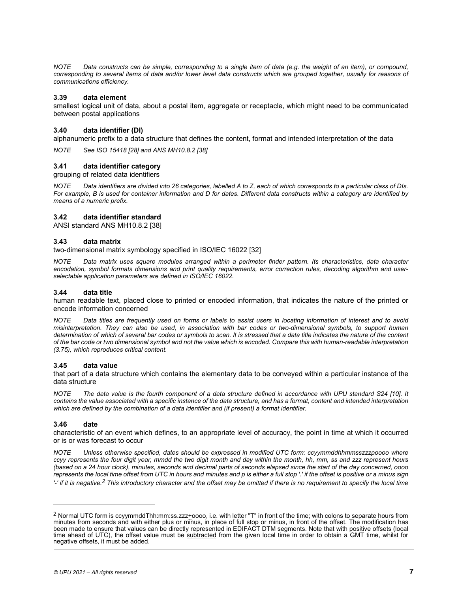*NOTE Data constructs can be simple, corresponding to a single item of data (e.g. the weight of an item), or compound,*  corresponding to several items of data and/or lower level data constructs which are grouped together, usually for reasons of *communications efficiency.* 

#### <span id="page-15-1"></span>**3.39 data element**

smallest logical unit of data, about a postal item, aggregate or receptacle, which might need to be communicated between postal applications

# **3.40 data iden[tifier](#page-35-2) (DI)**

alphanumeric prefix to a data structure that defines the content, format and intended interpretation of the data

*NOTE See ISO 15418 [28] and ANS MH10.8.2 [38]* 

# **3.41 data identifier category**

grouping of related data identifiers

*NOTE Data identifiers are divided into 26 categories, labelled A to Z, each of which corresponds to a particular class of DIs. For example, B is used for container information and D for dates. Different data constructs within a category are identified by means of a numeric prefix.* 

#### **3.42 data identifier standard**

ANSI standard ANS MH10.8.2 [38]

#### **3.43 data matrix**

two-dimensional matrix symbology specified in ISO/IEC 16022 [32]

*NOTE Data matrix uses square modules arranged within a perimeter finder pattern. Its characteristics, data character encodation, symbol formats dimensions and print quality requirements, error correction rules, decoding algorithm and userselectable application parameters are defined in ISO/IEC 16022.* 

## **3.44 data title**

human readable text, placed close to printed or encoded information, that indicates the nature of the printed or encode information concerned

*NOTE Data titles are frequently used on forms or labels to assist users in locating information of interest and to avoid misinterpretation. They can also be used, in association with bar codes or two-dimensional symbols, to support human determination of which of several bar codes or symbols to scan. It is stressed that a data title indicates the nature of the content of the bar code or two dimensional symbol and not the value which is encoded. Compare this with human-readable interpretation (3.75), which reproduces critical content.* 

#### **3.45 data value**

that part of a data structure which contains the elementary data to be conveyed within a particular instance [of the](#page-34-9) data structure

<span id="page-15-2"></span>*NOTE The data value is the fourth component of a data structure defined in accordance with UPU standard S24 [10]. It contains the value associated with a specific instance of the data structure, and has a format, content and intended interpretation which are defined by the combination of a data identifier and (if present) a format identifier.* 

# **3.46 date**

 $\overline{a}$ 

characteristic of an event which defines, to an appropriate level of accuracy, the point in time at which it occurred or is or was forecast to occur

*NOTE Unless otherwise specified, dates should be expressed in modified UTC form: ccyymmddhhmmsszzzpoooo where ccyy represents the four digit year, mmdd the two digit month and day within the month, hh, mm, ss and zzz represent hours (based on a 24 hour clock), minutes, seconds and decimal parts of seconds elapsed since the start of the day concerned, oooo represents t[he](#page-15-0) local time offset from UTC in hours and minutes and p is either a full stop '.' if the offset is positive or a minus sign '-' if it is negative.2 This introductory character and the offset may be omitted if there is no requirement to specify the local time* 

<span id="page-15-0"></span> $2$  Normal UTC form is ccyymmddThh:mm:ss.zzz+oooo, i.e. with letter "T" in front of the time; with colons to separate hours from minutes from seconds and with either plus or minus, in place of full stop or minus, in front of the offset. The modification has been made to ensure that values can be directly represented in EDIFACT DTM segments. Note that with positive offsets (local time ahead of UTC), the offset value must be **subtracted** from the given local time in order to obtain a GMT time, whilst for negative offsets, it must be added.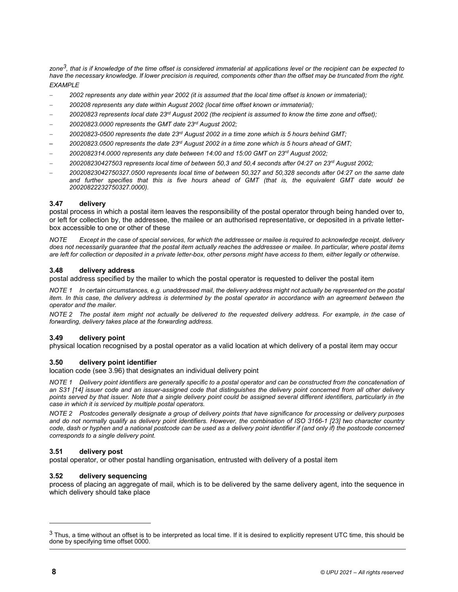*zone3, that is if knowledge of the time offset is considered immaterial at applications level or the recipient can be expected to have the necessary knowledge. If lower precision is required, components other than the offset may be truncated from the right. EXAMPLE* 

- *2002 represents any date within year 2002 (it is assumed that the local time offset is known or immaterial);*
- *200208 represents any date within August 2002 (local time offset known or immaterial);*
- *20020823 represents local date 23rd August 2002 (the recipient is assumed to know the time zone and offset);*
- *20020823.0000 represents the GMT date 23rd August 2002;*
- *20020823-0500 represents the date 23rd August 2002 in a time zone which is 5 hours behind GMT;*
- *20020823.0500 represents the date 23rd August 2002 in a time zone which is 5 hours ahead of GMT;*
- *2002082314.0000 represents any date between 14:00 and 15:00 GMT on 23rd August 2002;*
- *200208230427503 represents local time of between 50,3 and 50,4 seconds after 04:27 on 23rd August 2002;*
- *20020823042750327.0500 represents local time of between 50,327 and 50,328 seconds after 04:27 on the same date and further specifies that this is five hours ahead of GMT (that is, the equivalent GMT date would be 20020822232750327.0000).*

# **3.47 delivery**

postal process in which a postal item leaves the responsibility of the postal operator through being handed over to, or left for collection by, the addressee, the mailee or an authorised representative, or deposited in a private letterbox accessible to one or other of these

*NOTE Except in the case of special services, for which the addressee or mailee is required to acknowledge receipt, delivery does not necessarily guarantee that the postal item actually reaches the addressee or mailee. In particular, where postal items are left for collection or deposited in a private letter-box, other persons might have access to them, either legally or otherwise.* 

#### **3.48 delivery address**

postal address specified by the mailer to which the postal operator is requested to deliver the postal item

*NOTE 1 In certain circumstances, e.g. unaddressed mail, the delivery address might not actually be represented on the postal item. In this case, the delivery address is determined by the postal operator in accordance with an agreement between the operator and the mailer.* 

*NOTE 2 The postal item might not actually be delivered to the requested delivery address. For example, in the case of forwarding, delivery takes place at the forwarding address.* 

# **3.49 delivery point**

physical location recognised by a postal operator as a valid location at which delivery of a postal item may occur

# **3.50 deli[very p](#page-22-0)oint identifier**

l[ocatio](#page-34-10)n code (see 3.96) that designates an individual delivery point

*NOTE 1 Delivery point identifiers are generally specific to a postal operator and can be constructed from the concatenation of an S31 [14] issuer code and an issuer-assigned code that distinguishes the delivery point concerned from all other delivery points served by that issuer. Note that a single delivery point could be assigned several different identifiers, particularly in the case in which it is serviced by multiple postal operators.* 

*NOTE 2 Postcodes generally designate a group of delivery points that have significance for proc[essing](#page-35-7) or delivery purposes and do not normally qualify as delivery point identifiers. However, the combination of ISO 3166-1 [23] two character country code, dash or hyphen and a national postcode can be used as a delivery point identifier if (and only if) the postcode concerned corresponds to a single delivery point.* 

#### **3.51 delivery post**

postal operator, or other postal handling organisation, entrusted with delivery of a postal item

# **3.52 delivery sequencing**

process of placing an aggregate of mail, which is to be delivered by the same delivery agent, into the sequence in which delivery should take place

l

 $3$  Thus, a time without an offset is to be interpreted as local time. If it is desired to explicitly represent UTC time, this should be done by specifying time offset 0000.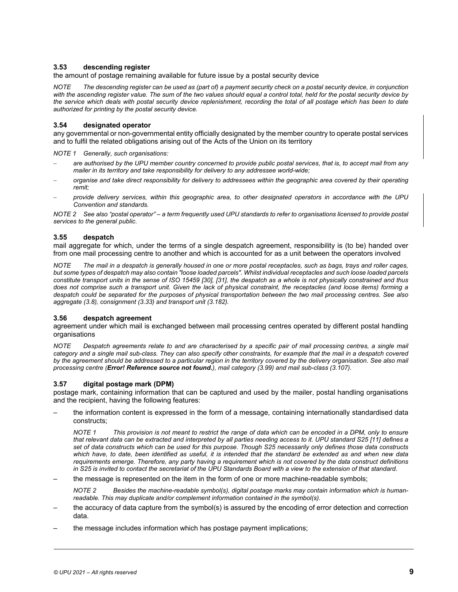# **3.53 descending register**

the amount of postage remaining available for future issue by a postal security device

*NOTE The descending register can be used as (part of) a payment security check on a postal security device, in conjunction with the ascending register value. The sum of the two values should equal a control total, held for the postal security device by the service which deals with postal security device replenishment, recording the total of all postage which has been to date authorized for printing by the postal security device.* 

# **3.54 designated operator**

any governmental or non-governmental entity officially designated by the member country to operate postal services and to fulfil the related obligations arising out of the Acts of the Union on its territory

*NOTE 1 Generally, such organisations:* 

- *are authorised by the UPU member country concerned to provide public postal services, that is, to accept mail from any mailer in its territory and take responsibility for delivery to any addressee world-wide;*
- *organise and take direct responsibility for delivery to addressees within the geographic area covered by their operating remit;*
- *provide delivery services, within this geographic area, to other designated operators in accordance with the UPU Convention and standards.*

*NOTE 2 See also "postal operator" – a term frequently used UPU standards to refer to organisations licensed to provide postal services to the general public.* 

# **3.55 despatch**

mail aggregate for which, under the terms of a single despatch agreement, responsibility is (to be) handed over from one mail processing centre to another and which is accounted for as a unit between the operators involved

*NOTE The mail in a despatch is generally ho[used](#page-35-4) [in one](#page-35-6) or more postal receptacles, such as bags, trays and roller cages, but some types of despatch may also contain "loose loaded parcels". Whilst individual receptacles and such loose loaded parcels constitute transport units in the sense of ISO 15459 [30], [31], the despatch as a whole is not physically constrained and thus does [not c](#page-10-0)omprise such [a trans](#page-14-0)port unit. Given th[e lack o](#page-30-0)f physical constraint, the receptacles (and loose items) forming a despatch could be separated for the purposes of physical transportation between the two mail processing centres. See also aggregate (3.8), consignment (3.33) and transport unit (3.182).* 

# **3.56 despatch agreement**

agreement under which mail is exchanged between mail processing centres operated by different postal handling organisations

<span id="page-17-0"></span>*NOTE Despatch agreements relate to and are characterised by a specific pair of mail processing centres, a single mail category and a single mail sub-class. They can also specify other cons[traints](#page-22-1), for example that the [mail in](#page-23-0) a despatch covered*  by the agreement should be addressed to a particular region in the territory covered by the delivery organisation. See also mail *processing centre (Error! Reference source not found.), mail category (3.99) and mail sub-class (3.107).* 

# **3.57 digital postage mark (DPM)**

postage mark, containing information that can be captured and used by the mailer, postal handling organisations and the recipient, having the following features:

– the information content is expressed in the form of a message, containing internationally standardised data constructs;

*NOTE 1* This provision is not meant to restrict the range of data which can be encoded in a DPM, [only to](#page-34-4) ensure *that relevant data can be extracted and interpreted by all parties needing access to it. UPU standard S25 [11] defines a set of data constructs which can be used for this purpose. Though S25 necessarily only defines those data constructs which have, to date, been identified as useful, it is intended that the standard be extended as and when new data requirements emerge. Therefore, any party having a requirement which is not covered by the data construct definitions in S25 is invited to contact the secretariat of the UPU Standards Board with a view to the extension of that standard.* 

– the message is represented on the item in the form of one or more machine-readable symbols;

*NOTE 2 Besides the machine-readable symbol(s), digital postage marks may contain information which is humanreadable. This may duplicate and/or complement information contained in the symbol(s).* 

- the accuracy of data capture from the symbol(s) is assured by the encoding of error detection and correction data.
- the message includes information which has postage payment implications;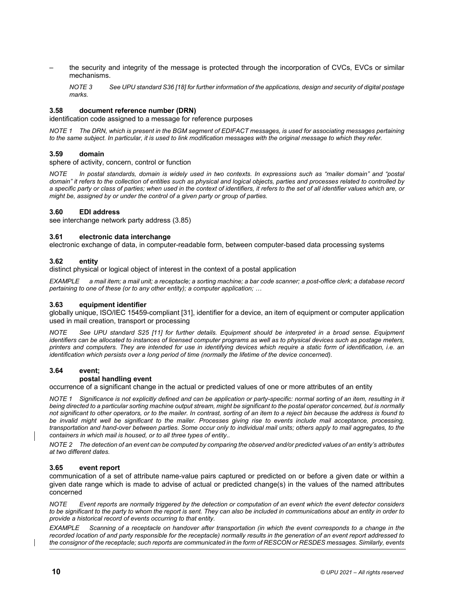<span id="page-18-0"></span>– the security and integrity of the message is protected through the incorporation of CVCs, EVCs or similar mechanisms.

*NOTE 3 See UPU standard S36 [18] for further information of the applications, design and security of digital postage marks.* 

# **3.58 document reference number (DRN)**

identification code assigned to a message for reference purposes

*NOTE 1 The DRN, which is present in the BGM segment of EDIFACT messages, is used for associating messages pertaining to the same subject. In particular, it is used to link modification messages with the original message to which they refer.* 

# **3.59 domain**

sphere of activity, concern, control or function

*NOTE In postal standards, domain is widely used in two contexts. In expressions such as "mailer domain" and "postal domain" it refers to the collection of entities such as physical and logical objects, parties and processes related to controlled by a specific party or class of parties; when used in the context of identifiers, it refers to the set of all identifier values which are, or might be, assigned by or under the contr[ol of a](#page-21-0) given party or group of parties.* 

#### **3.60 EDI address**

see interchange network party address (3.85)

#### **3.61 electronic data interchange**

electronic exchange of data, in computer-readable form, between computer-based data processing systems

#### **3.62 entity**

distinct physical or logical object of interest in the context of a postal application

*EXAMPLE a mail item; a mail unit; a receptacle; a sorting machine; a bar code scanner; a post-office clerk; a database record pertaining to one of these (or to any other [entity\);](#page-35-6) a computer application; …* 

## **3.63 equipment identifier**

globally unique, ISO/IEC 15[459-co](#page-34-4)mpliant [31], identifier for a device, an item of equipment or computer application used in mail creation, transport or processing

*NOTE See UPU standard S25 [11] for further details. Equipment should be interpreted in a broad sense. Equipment identifiers can be allocated to instances of licensed computer programs as well as to physical devices such as postage meters, printers and computers. They are intended for use in identifying devices which require a static form of identification, i.e. an identification which persists over a long period of time (normally the lifetime of the device concerned).* 

# **3.64 event;**

## **postal handling event**

occurrence of a significant change in the actual or predicted values of one or more attributes of an entity

*NOTE 1 Significance is not explicitly defined and can be application or party-specific: normal sorting of an item, resulting in it being directed to a particular sorting machine output stream, might be significant to the postal operator concerned, but is normally not significant to other operators, or to the mailer. In contrast, sorting of an item to a reject bin because the address is found to*  be invalid might well be significant to the mailer. Processes giving rise to events include mail acceptance, processing, *transportation and hand-over between parties. Some occur only to individual mail units; others apply to mail aggregates, to the containers in which mail is housed, or to all three types of entity..* 

*NOTE 2 The detection of an event can be computed by comparing the observed and/or predicted values of an entity's attributes at two different dates.* 

#### **3.65 event report**

communication of a set of attribute name-value pairs captured or predicted on or before a given date or within a given date range which is made to advise of actual or predicted change(s) in the values of the named attributes concerned

*Event reports are normally triggered by the detection or computation of an event which the event detector considers to be significant to the party to whom the report is sent. They can also be included in communications about an entity in order to provide a historical record of events occurring to that entity.* 

*EXAMPLE Scanning of a receptacle on handover after transportation (in which the event corresponds to a change in the recorded location of and party responsible for the receptacle) normally results in the generation of an event report addressed to the consignor of the receptacle; such reports are communicated in the form of RESCON or RESDES messages. Similarly, events*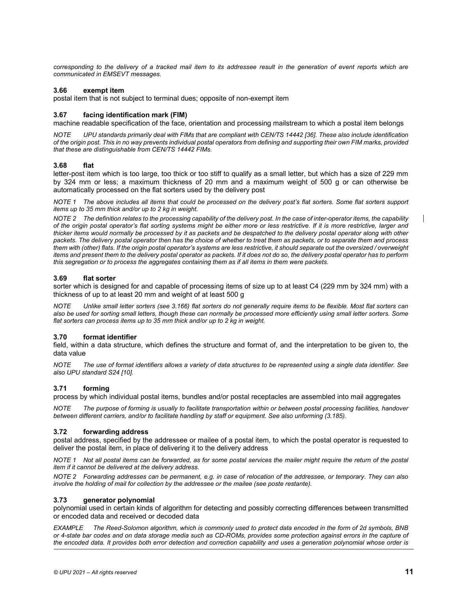*corresponding to the delivery of a tracked mail item to its addressee result in the generation of event reports which are communicated in EMSEVT messages.* 

# <span id="page-19-0"></span>**3.66 exempt item**

postal item that is not subject to terminal dues; opposite of non-exempt item

# **3.67 facing identification mark (FIM)**

machine readable specification of the face, orientation and processing mailstream to which a postal item belongs

*NOTE UPU standards primarily deal with FIMs that are compliant with CEN/TS 14442 [36]. These also include identification of the origin post. This in no way prevents individual postal operators from defining and supporting their own FIM marks, provided that these are distinguishable from CEN/TS 14442 FIMs.* 

# **3.68 flat**

letter-post item which is too large, too thick or too stiff to qualify as a small letter, but which has a size of 229 mm by 324 mm or less; a maximum thickness of 20 mm and a maximum weight of 500 g or can otherwise be automatically processed on the flat sorters used by the delivery post

*NOTE 1 The above includes all items that could be processed on the delivery post's flat sorters. Some flat sorters support items up to 35 mm thick and/or up to 2 kg in weight.* 

*NOTE 2 The definition relates to the processing capability of the delivery post. In the case of inter-operator items, the capability of the origin postal operator's flat sorting systems might be either more or less restrictive. If it is more restrictive, larger and thicker items would normally be processed by it as packets and be despatched to the delivery postal operator along with other packets. The delivery postal operator then has the choice of whether to treat them as packets, or to separate them and process them with (other) flats. If the origin postal operator's systems are less restrictive, it should separate out the oversized / overweight items and present them to the delivery postal operator as packets. If it does not do so, the delivery postal operator has to perform this segregation or to process the aggregates containing them as if all items in them were packets.* 

# **3.69 flat sorter**

sorter which is designed for and c[apable](#page-28-0) of processing items of size up to at least C4 (229 mm by 324 mm) with a thickness of up to at least 20 mm and weight of at least 500 g

*NOTE Unlike small letter sorters (see 3.166) flat sorters do not generally require items to be flexible. Most flat sorters can also be used for sorting small letters, though these can normally be processed more efficiently using small letter sorters. Some flat sorters can process items up to 35 mm thick and/or up to 2 kg in weight.* 

# **3.70 format identifier**

field, within a data structure, which defines the structure and format of, and the interpretation to be given to, the data value

*NOTE The use [of for](#page-34-9)mat identifiers allows a variety of data structures to be represented using a single data identifier. See also UPU standard S24 [10].* 

# **3.71 forming**

process by which individual postal items, bundles and/or postal receptacles are assembled into mail aggregates

*NOTE The purpose of forming is usually to facilitate transportation within or between postal [processi](#page-30-1)ng facilities, handover between different carriers, and/or to facilitate handling by staff or equipment. See also unforming (3.185).* 

# **3.72 forwarding address**

postal address, specified by the addressee or mailee of a postal item, to which the postal operator is requested to deliver the postal item, in place of delivering it to the delivery address

*NOTE 1 Not all postal items can be forwarded, as for some postal services the mailer might require the return of the postal item if it cannot be delivered at the delivery address.* 

*NOTE 2 Forwarding addresses can be permanent, e.g. in case of relocation of the addressee, or temporary. They can also involve the holding of mail for collection by the addressee or the mailee (see poste restante).* 

# **3.73 generator polynomial**

polynomial used in certain kinds of algorithm for detecting and possibly correcting differences between transmitted or encoded data and received or decoded data

*EXAMPLE The Reed-Solomon algorithm, which is commonly used to protect data encoded in the form of 2d symbols, BNB or 4-state bar codes and on data storage media such as CD-ROMs, provides some protection against errors in the capture of the encoded data. It provides both error detection and correction capability and uses a generation polynomial whose order is* 

 $\mathsf{I}$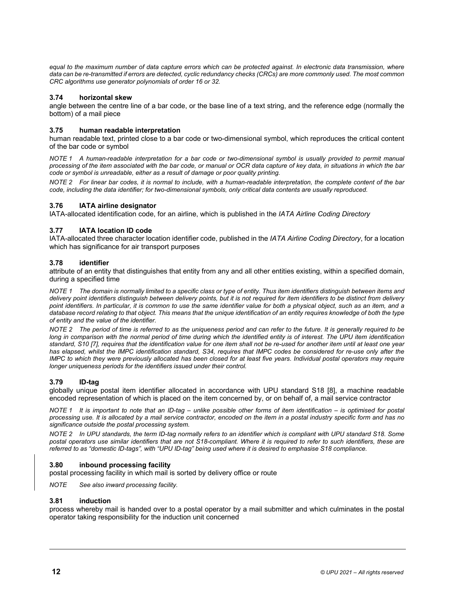equal to the maximum number of data capture errors which can be protected against. In electronic data transmission, where *data can be re-transmitted if errors are detected, cyclic redundancy checks (CRCs) are more commonly used. The most common CRC algorithms use generator polynomials of order 16 or 32.* 

# **3.74 horizontal skew**

angle between the centre line of a bar code, or the base line of a text string, and the reference edge (normally the bottom) of a mail piece

# **3.75 human readable interpretation**

human readable text, printed close to a bar code or two-dimensional symbol, which reproduces the critical content of the bar code or symbol

*NOTE 1 A human-readable interpretation for a bar code or two-dimensional symbol is usually provided to permit manual processing of the item associated with the bar code, or manual or OCR data capture of key data, in situations in which the bar code or symbol is unreadable, either as a result of damage or poor quality printing.* 

*NOTE 2 For linear bar codes, it is normal to include, with a human-readable interpretation, the complete content of the bar code, including the data identifier; for two-dimensional symbols, only critical data contents are usually reproduced.* 

# **3.76 IATA airline designator**

IATA-allocated identification code, for an airline, which is published in the *IATA Airline Coding Directory*

# **3.77 IATA location ID code**

<span id="page-20-0"></span>IATA-allocated three character location identifier code, published in the *IATA Airline Coding Directory*, for a location which has significance for air transport purposes

# **3.78 identifier**

attribute of an entity that distinguishes that entity from any and all other entities existing, within a specified domain, during a specified time

*NOTE 1 The domain is normally limited to a specific class or type of entity. Thus item identifiers distinguish between items and delivery point identifiers distinguish between delivery points, but it is not required for item identifiers to be distinct from delivery point identifiers. In particular, it is common to use the same identifier value for both a physical object, such as an item, and a database record relating to that object. This means that the unique identification of an entity requires knowledge of both the type of entity and the value of the identifier.* 

*NOTE 2 [Th](#page-34-11)e period of time is referred to as the uniqueness period and can refer to the future. It is generally required to be long in comparison with the normal period of time during which the identified entity is of interest. The UPU item identification standard, S10 [7], requires that the identification value for one item shall not be re-used for another item until at least one year has elapsed, whilst the IMPC identification standard, S34, requires that IMPC codes be considered for re-use only after the IMPC to which they were previously allocated has been closed for at least five years. Individual postal operators may require longer uniqueness periods for the identifiers issued under their control.* 

# **3.79 ID-tag**

globally unique postal item identifier allocated in accordance with UPU standard S18 [8], a machine readable encoded representation of which is placed on the item concerned by, or on behalf of, a mail service contractor

*NOTE 1 It is important to note that an ID-tag – unlike possible other forms of item identification – is optimised for postal processing use. It is allocated by a mail service contractor, encoded on the item in a postal industry specific form and has no significance outside the postal processing system.* 

*NOTE 2 In UPU standards, the term ID-tag normally refers to an identifier which is compliant with UPU standard S18. Some postal operators use similar identifiers that are not S18-compliant. Where it is required to refer to such identifiers, these are*  referred to as "domestic ID-tags", with "UPU ID-tag" being used where it is desired to emphasise S18 compliance.

# **3.80 inbound processing facility**

postal processing facility in which mail is sorted by delivery office or route

*NOTE See also inward processing facility.* 

# **3.81 induction**

process whereby mail is handed over to a postal operator by a mail submitter and which culminates in the postal operator taking responsibility for the induction unit concerned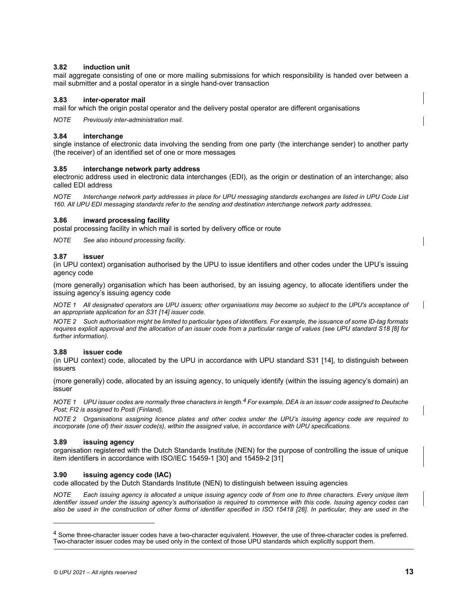# **3.82 induction unit**

mail aggregate consisting of one or more mailing submissions for which responsibility is handed over between a mail submitter and a postal operator in a single hand-over transaction

# **3.83 inter-operator mail**

mail for which the origin postal operator and the delivery postal operator are different organisations

*NOTE Previously inter-administration mail.* 

# <span id="page-21-0"></span>**3.84 interchange**

single instance of electronic data involving the sending from one party (the interchange sender) to another party (the receiver) of an identified set of one or more messages

# **3.85 interchange network party address**

electronic address used in electronic data interchanges (EDI), as the origin or destination of an interchange; also called EDI address

*NOTE Interchange network party addresses in place for UPU messaging standards exchanges are listed in UPU Code List 160. All UPU EDI messaging standards refer to the sending and destination interchange network party addresses.* 

# **3.86 inward processing facility**

<span id="page-21-2"></span>postal processing facility in which mail is sorted by delivery office or route

*NOTE See also inbound processing facility.* 

# **3.87 issuer**

(in UPU context) organisation authorised by the UPU to issue identifiers and other codes under the UPU's issuing agency code

(more generally) organisation which has been authorised, by an issuing agency, to allocate identifiers under the issuing agency's issuing agen[cy co](#page-34-10)de

*NOTE 1 All designated operators are UPU issuers; other organisations may become so subject to the UPU's acceptance of an appropriate application for an S31 [14] issuer code.* 

*NOTE 2 Such authorisation might be limited to particular types of identifiers. For example, the issuance of some ID-tag formats requires explicit approval and the allocation of an issuer code from a particular range of values (see UPU standard S18 [8] for further information).* 

# **3.88 issuer code**

(in UPU context) code, allocated by the UPU in accordance with UPU standard S31 [14], to distinguish between issuers

(more generally) code, allocated by an issuing agency, to u[n](#page-21-1)iquely identify (within the issuing agency's domain) an issuer

*NOTE 1 UPU issuer codes are normally three characters in length.4 For example, DEA is an issuer code assigned to Deutsche Post; FI2 is assigned to Posti (Finland).* 

*NOTE 2 Organisations assigning licence plates and other codes under the UPU's issuing agency code are required to incorporate (one of) their issuer code(s), within the assigned value, in accordance with UPU specifications.* 

# **3.89 issuing agency**

<span id="page-21-3"></span>organisation registered with the Dutch Standards [Institu](#page-35-4)te (NEN) for [the p](#page-35-6)urpose of controlling the issue of unique item identifiers in accordance with ISO/IEC 15459-1 [30] and 15459-2 [31]

# **3.90 issuing agency code (IAC)**

code allocated by the Dutch Standards Institute (NEN) to distinguish between issuing agencies

*NOTE Each issuing agency is allocated a unique issuing agency code of from one to three characters. Every unique item identifier issued under the issuing agency's authorisation is required to commence [with th](#page-35-2)is code. Issuing agency codes can also be used in the construction of other forms of identifier specified in ISO 15418 [28]. In particular, they are used in the* 

 $\overline{a}$ 

 $\mathsf{l}$ 

<span id="page-21-1"></span><sup>4</sup> Some three-character issuer codes have a two-character equivalent. However, the use of three-character codes is preferred. Two-character issuer codes may be used only in the context of those UPU standards which explicitly support them.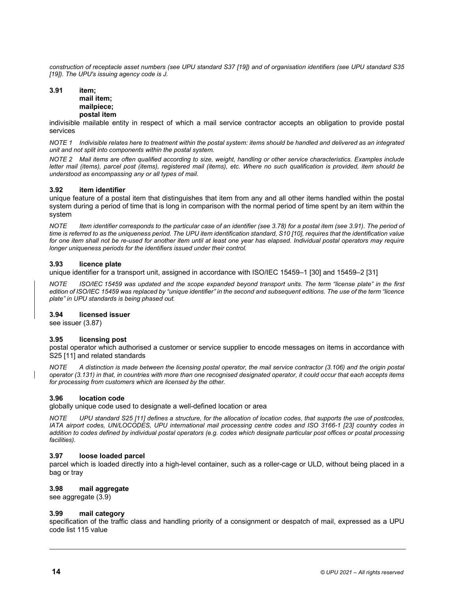<span id="page-22-2"></span>*construction of receptacle asset numbers (see UPU standard S37 [19]) and of organisation identifiers (see UPU standard S35 [19]). The UPU's issuing agency code is J.* 

#### **3.91 item; mail item; mailpiece; postal item**

indivisible mailable entity in respect of which a mail service contractor accepts an obligation to provide postal services

*NOTE 1 Indivisible relates here to treatment within the postal system: items should be handled and delivered as an integrated unit and not split into components within the postal system.* 

*NOTE 2 Mail items are often qualified according to size, weight, handling or other service characteristics. Examples include letter mail (items), parcel post (items), registered mail (items), etc. Where no such qualification is provided, item should be understood as encompassing any or all types of mail.* 

# **3.92 item identifier**

unique feature of a postal item that distinguishes that item from any and all other items handled within the postal system during a period of time that is long in comparison with the nor[mal pe](#page-20-0)riod of time spent by [an ite](#page-22-2)m within the system

*NOTE Item identifier corresponds to the particular case of an identifier (see 3.78) for a postal item (see 3.91). The period of time is referred to as the uniqueness period. The UPU item identification standard, S10 [10], requires that the identification value for one item shall not be re-used for another item until at least one year has elapsed. Individual postal operators may require longer uniqueness periods for the identifiers issued under their control.* 

# **3.93 licence plate**

unique identifier for a transport unit, assigned in accordance with ISO/IEC 15459–1 [30] and 15459–2 [31]

*NOTE ISO/IEC 15459 was updated and the scope expanded beyond transport units. The term "license plate" in the first edition of ISO/IEC 15459 was replaced by "unique identifier" in the second and subsequent editions. The use of the term "licence plate" in UPU standards is being phased out.* 

# **3.94 [lic](#page-21-2)ensed issuer**

see issuer (3.87)

# **[3.95](#page-34-4) licensing post**

postal operator which authorised a customer or service supplier to encode messages on [items](#page-23-1) in accordance with S2[5 \[11\] a](#page-25-0)nd related standards

<span id="page-22-0"></span>*NOTE A distinction is made between the licensing postal operator, the mail service contractor (3.106) and the origin postal operator (3.131) in that, in countries with more than one recognised designated operator, it could occur that each accepts items for processing from customers which are licensed by the other.* 

# **3.96 location code**

globally unique code u[sed to](#page-34-4) designate a well-defined location or area

*NOTE UPU standard S25 [11] defines a structure, for the allocation of location codes, that supports [the u](#page-35-7)se of postcodes, IATA airport codes, UN/LOCODES, UPU international mail processing centre codes and ISO 3166-1 [23] country codes in addition to codes defined by individual postal operators (e.g. codes which designate particular post offices or postal processing facilities).* 

# **3.97 loose loaded parcel**

parcel which is loaded directly into a high-level container, such as a roller-cage or ULD, without being placed in a bag or tray

# **3.98 [mail a](#page-11-0)ggregate**

<span id="page-22-1"></span>see aggregate (3.9)

# **3.99 mail category**

specification of the traffic class and handling priority of a consignment or despatch of mail, expressed as a UPU code list 115 value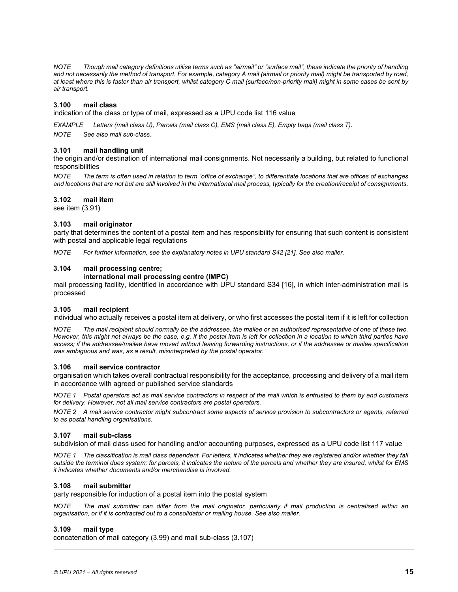*NOTE Though mail category definitions utilise terms such as "airmail" or "surface mail", these indicate the priority of handling and not necessarily the method of transport. For example, category A mail (airmail or priority mail) might be transported by road, at least where this is faster than air transport, whilst category C mail (surface/non-priority mail) might in some cases be sent by air transport.* 

## **3.100 mail class**

indication of the class or type of mail, expressed as a UPU code list 116 value

*EXAMPLE Letters (mail class U), Parcels (mail class C), EMS (mail class E), Empty bags (mail class T).* 

*NOTE See also mail sub-class.* 

#### **3.101 mail handling unit**

the origin and/or destination of international mail consignments. Not necessarily a building, but related to functional responsibilities

*NOTE The term is often used in relation to term "office of exchange", to differentiate locations that are offices of exchanges and l[ocation](#page-22-2)s that are not but are still involved in the international mail process, typically for the creation/receipt of consignments.* 

#### **3.102 mail item**

see item (3.91)

#### **3.103 mail originator**

<span id="page-23-3"></span>party that determines the content of a postal item and has responsibility f[or ens](#page-34-3)uring that such content is consistent with postal and applicable legal regulations

*NOTE For further information, see the explanatory notes in UPU standard S42 [21]. See also mailer.* 

#### **3.104 mail processing centre;**

#### **international mail processing centre (IMPC)**

<span id="page-23-2"></span>mail processing facility, identified in accordance with UPU standard S34 [16], in which inter-administration mail is processed

#### **3.105 mail recipient**

individual who actually receives a postal item at delivery, or who first accesses the postal item if it is left for collection

<span id="page-23-1"></span>*NOTE The mail recipient should normally be the addressee, the mailee or an authorised representative of one of these two. However, this might not always be the case, e.g. if the postal item is left for collection in a location to which third parties have access; if the addressee/mailee have moved without leaving forwarding instructions, or if the addressee or mailee specification was ambiguous and was, as a result, misinterpreted by the postal operator.* 

#### **3.106 mail service contractor**

organisation which takes overall contractual responsibility for the acceptance, processing and delivery of a mail item in accordance with agreed or published service standards

*NOTE 1 Postal operators act as mail service contractors in respect of the mail which is entrusted to them by end customers for delivery. However, not all mail service contractors are postal operators.* 

<span id="page-23-0"></span>*NOTE 2 A mail service contractor might subcontract some aspects of service provision to subcontractors or agents, referred to as postal handling organisations.* 

#### **3.107 mail sub-class**

subdivision of mail class used for handling and/or accounting purposes, expressed as a UPU code list 117 value

*NOTE 1 The classification is mail class dependent. For letters, it indicates whether they are registered and/or whether they fall outside the terminal dues system; for parcels, it indicates the nature of the parcels and whether they are insured, whilst for EMS it indicates whether documents and/or merchandise is involved.* 

#### **3.108 mail submitter**

party responsible for induction of a postal item into the postal system

*NOTE The mail submitter can differ from the mail originator, particularly if mail production is centralised within an organisation, or if it is contracted out to a consolidator or mailing house. See also mailer.* 

#### **3.109 mail type**

concatenation of mail categ[ory \(3.](#page-22-1)99) and mail sub-clas[s \(3.107](#page-23-0))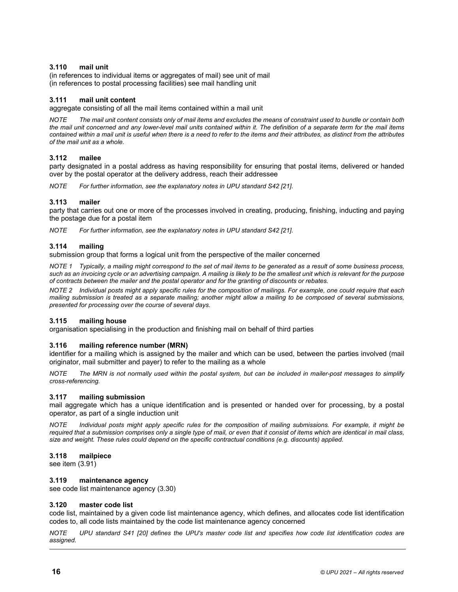# **3.110 mail unit**

(in references to individual items or aggregates of mail) see unit of mail (in references to postal processing facilities) see mail handling unit

# **3.111 mail unit content**

aggregate consisting of all the mail items contained within a mail unit

*NOTE The mail unit content consists only of mail items and excludes the means of constraint used to bundle or contain both the mail unit concerned and any lower-level mail units contained within it. The definition of a separate term for the mail items contained within a mail unit is useful when there is a need to refer to the items and their attributes, as distinct from the attributes of the mail unit as a whole.* 

# **3.112 mailee**

party designated in a postal address as having responsibility for ensuri[ng tha](#page-34-3)t postal items, delivered or handed over by the postal operator at the delivery address, reach their addressee

*NOTE For further information, see the explanatory notes in UPU standard S42 [21].* 

# **3.113 mailer**

party that carries out one or more of the processes involved in creating, [produ](#page-34-3)cing, finishing, inducting and paying the postage due for a postal item

*NOTE For further information, see the explanatory notes in UPU standard S42 [21].* 

# **3.114 mailing**

submission group that forms a logical unit from the perspective of the mailer concerned

*NOTE 1 Typically, a mailing might correspond to the set of mail items to be generated as a result of some business process, such as an invoicing cycle or an advertising campaign. A mailing is likely to be the smallest unit which is relevant for the purpose of contracts between the mailer and the postal operator and for the granting of discounts or rebates.* 

*NOTE 2 Individual posts might apply specific rules for the composition of mailings. For example, one could require that each mailing submission is treated as a separate mailing; another might allow a mailing to be composed of several submissions, presented for processing over the course of several days.* 

# **3.115 mailing house**

organisation specialising in the production and finishing mail on behalf of third parties

# **3.116 mailing reference number (MRN)**

identifier for a mailing which is assigned by the mailer and which can be used, between the parties involved (mail originator, mail submitter and payer) to refer to the mailing as a whole

<span id="page-24-1"></span>*NOTE The MRN is not normally used within the postal system, but can be included in mailer-post messages to simplify cross-referencing.* 

# **3.117 mailing submission**

mail aggregate which has a unique identification and is presented or handed over for processing, by a postal operator, as part of a single induction unit

*NOTE Individual posts might apply specific rules for the composition of mailing submissions. For example, it might be required that a submission comprises only a single type of mail, or even that it consist of items which are identical in mail class, size and weight. These rules could depend on the specific contractual conditions (e.g. discounts) applied.* 

# **3.1[18 m](#page-22-2)ailpiece**

<span id="page-24-0"></span>see item (3.91)

# **3.119 maintenance agency**

see code list maintenance age[ncy \(3.](#page-13-0)30)

# **3.120 master code list**

code list, maintained by a given code list maintenance agency, which defines, and allocates code list identification codes to, all code lists maintained by the code list maintenance agency concerned

*NOTE UPU standard [S41 \[](#page-34-5)20] defines the UPU's master code list and specifies how code list identification codes are assigned.*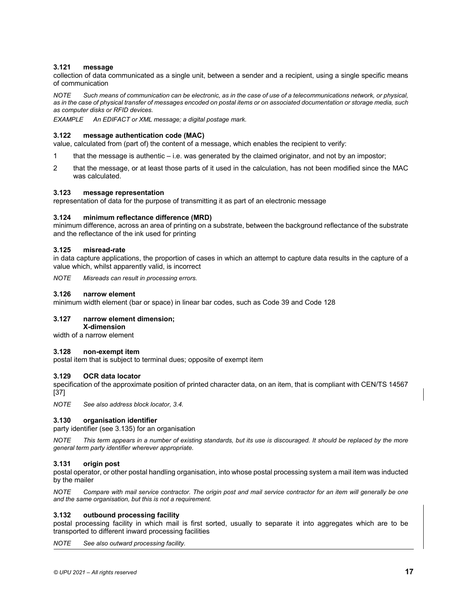# **3.121 message**

collection of data communicated as a single unit, between a sender and a recipient, using a single specific means of communication

<span id="page-25-3"></span>*NOTE Such means of communication can be electronic, as in the case of use of a telecommunications network, or physical, as in the case of physical transfer of messages encoded on postal items or on associated documentation or storage media, such as computer disks or RFID devices.* 

*EXAMPLE An EDIFACT or XML message; a digital postage mark.* 

# **3.122 message authentication code (MAC)**

value, calculated from (part of) the content of a message, which enables the recipient to verify:

- 1 that the message is authentic i.e. was generated by the claimed originator, and not by an impostor;
- 2 that the message, or at least those parts of it used in the calculation, has not been modified since the MAC was calculated.

# <span id="page-25-2"></span>**3.123 message representation**

representation of data for the purpose of transmitting it as part of an electronic message

# **3.124 minimum reflectance difference (MRD)**

minimum difference, across an area of printing on a substrate, between the background reflectance of the substrate and the reflectance of the ink used for printing

# **3.125 misread-rate**

in data capture applications, the proportion of cases in which an attempt to capture data results in the capture of a value which, whilst apparently valid, is incorrect

*NOTE Misreads can result in processing errors.* 

# **3.126 narrow element**

minimum width element (bar or space) in linear bar codes, such as Code 39 and Code 128

# **3.127 narrow element dimension;**

**X-dimension** 

width of a narrow element

# **3.128 non-exempt item**

postal item that is subject to terminal dues; opposite of exempt item

# **3.129 OCR data locator**

specification of the approximate position of printed character data, on an item, that is compliant with CEN/TS 14567 [37]

<span id="page-25-1"></span>*NOTE See also address block locator, 3.4.* 

# **3.130 orga[nisation](#page-26-0) identifier**

party identifier (see 3.135) for an organisation

<span id="page-25-0"></span>*NOTE This term appears in a number of existing standards, but its use is discouraged. It should be replaced by the more general term party identifier wherever appropriate.* 

# **3.131 origin post**

postal operator, or other postal handling organisation, into whose postal processing system a mail item was inducted by the mailer

*NOTE Compare with mail service contractor. The origin post and mail service contractor for an item will generally be one and the same organisation, but this is not a requirement.* 

# **3.132 outbound processing facility**

postal processing facility in which mail is first sorted, usually to separate it into aggregates which are to be transported to different inward processing facilities

*NOTE See also outward processing facility.*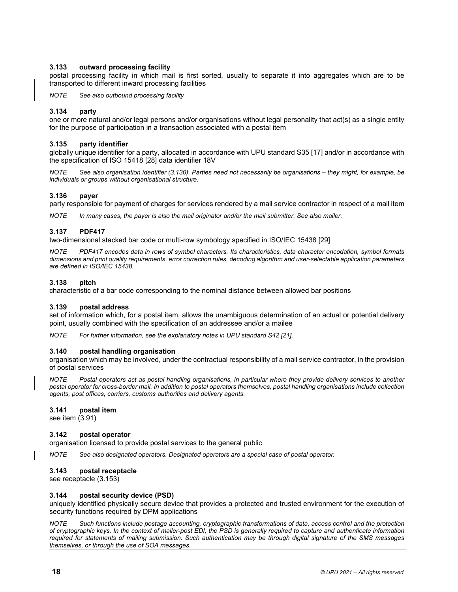# **3.133 outward processing facility**

postal processing facility in which mail is first sorted, usually to separate it into aggregates which are to be transported to different inward processing facilities

*NOTE See also outbound processing facility* 

# <span id="page-26-0"></span>**3.134 party**

one or more natural and/or legal persons and/or organisations without legal person[ality th](#page-34-12)at act(s) as a single entity for the purpose of particip[ation in](#page-35-2) a transaction associated with a postal item

# **3.135 party identifier**

globally unique identifier for a party[, alloca](#page-25-1)ted in accordance with UPU standard S35 [17] and/or in accordance with the specification of ISO 15418 [28] data identifier 18V

*NOTE See also organisation identifier (3.130). Parties need not necessarily be organisations – they might, for example, be individuals or groups without organisational structure.* 

# **3.136 payer**

<span id="page-26-1"></span>party responsible for payment of charges for services rendered by a mail service contractor in respect of a mail item

*NOTE In many cases, the payer is also the mail originator and/or the mail submitter. See al[so mai](#page-35-8)ler.* 

# **3.137 PDF417**

two-dimensional stacked bar code or multi-row symbology specified in ISO/IEC 15438 [29]

*NOTE PDF417 encodes data in rows of symbol characters. Its characteristics, data character encodation, symbol formats dimensions and print quality requirements, error correction rules, decoding algorithm and user-selectable application parameters are defined in ISO/IEC 15438.* 

# **3.138 pitch**

characteristic of a bar code corresponding to the nominal distance between allowed bar positions

# **3.139 postal address**

set of information which, for a postal item, allows the unambiguous determination of an actual or potential delivery point, usually combined with the specification of an addressee and/or a [mailee](#page-34-3)

*NOTE For further information, see the explanatory notes in UPU standard S42 [21].* 

# **3.140 postal handling organisation**

organisation which may be involved, under the contractual responsibility of a mail service contractor, in the provision of postal services

*NOTE Postal operators act as postal handling organisations, in particular where they provide delivery services to another postal operator for cross-border mail. In addition to postal operators themselves, postal handling organisations include collection agents, post offices, carriers, customs authorities and delivery agents.* 

# **3.1[41 p](#page-22-2)ostal item**

see item (3.91)

# **3.142 postal operator**

organisation licensed to provide postal services to the general public

*NOTE See also designated operators. Designated operators are a special case of postal operator.* 

# **3.143 [postal re](#page-27-1)ceptacle**

<span id="page-26-2"></span>see receptacle (3.153)

# **3.144 postal security device (PSD)**

uniquely identified physically secure device that provides a protected and trusted environment for the execution of security functions required by DPM applications

*NOTE Such functions include postage accounting, cryptographic transformations of data, access control and the protection of cryptographic keys. In the context of mailer-post EDI, the PSD is generally required to capture and authenticate information required for statements of mailing submission. Such authentication may be through digital signature of the SMS messages themselves, or through the use of SOA messages.*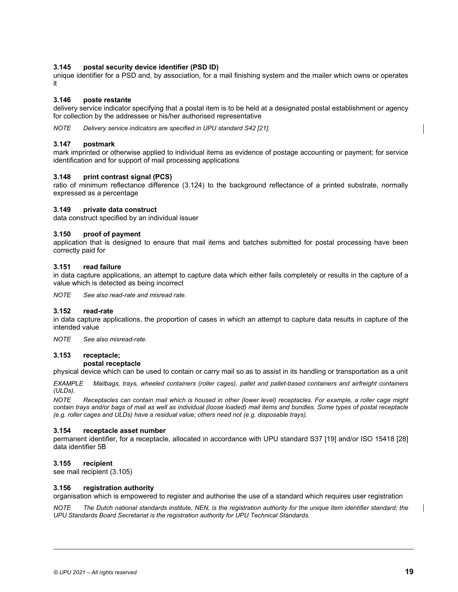# **3.145 postal security device identifier (PSD ID)**

unique identifier for a PSD and, by association, for a mail finishing system and the mailer which owns or operates it

# **3.146 poste restante**

delivery service indicator specifying that a postal item is to be held at a designated postal establishment or agency for collection by the addressee or his/her authorised representative

*NOTE Delivery service indicators are specified in UPU standard S42 [21].* 

# <span id="page-27-2"></span>**3.147 postmark**

mark imprinted or otherwise applied to individual items as evidence of postage accounting or payment; for service identification and for support of mail pr[ocessin](#page-25-2)g applications

#### **3.148 print contrast signal (PCS)**

ratio of minimum reflectance difference (3.124) to the background reflectance of a printed substrate, normally expressed as a percentage

#### **3.149 private data construct**

data construct specified by an individual issuer

#### **3.150 proof of payment**

application that is designed to ensure that mail items and batches submitted for postal processing have been correctly paid for

#### **3.151 read failure**

in data capture applications, an attempt to capture data which either fails completely or results in the capture of a value which is detected as being incorrect

*NOTE See also read-rate and misread rate.* 

# **3.152 read-rate**

in data capture applications, the proportion of cases in which an attempt to capture data results in capture of the intended value

<span id="page-27-1"></span>*NOTE See also misread-rate.* 

#### **3.153 receptacle;**

#### **postal receptacle**

physical device which can be used to contain or carry mail so as to assist in its handling or transportation as a unit

*EXAMPLE Mailbags, trays, wheeled containers (roller cages), pallet and pallet-based containers and airfreight containers (ULDs).* 

<span id="page-27-0"></span>*NOTE Receptacles can contain mail which is housed in other (lower level) receptacles. For example, a roller cage might contain trays and/or bags of mail as well as individual (loose loaded) mail items and bundles. Some types of postal receptacle (e.g. roller cages and ULDs) have a residual value; others need not (e.g. disposable trays).* 

#### **3.154 receptacle asset number**

permanent identifier, for a receptacle, allocated in accordance with UPU standard S37 [19] and/or ISO 15418 [28] data identifier 5B

#### **3.155 reci[pient](#page-23-2)**

see mail recipient (3.105)

#### **3.156 registration authority**

organisation which is empowered to register and authorise the use of a standard which requires user registration

*NOTE The Dutch national standards institute, NEN, is the registration authority for the unique item identifier standard; the UPU Standards Board Secretariat is the registration authority for UPU Technical Standards.*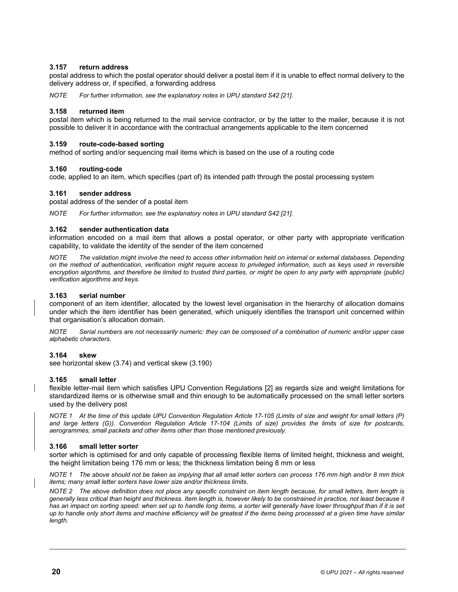# **3.157 return address**

postal address to which the postal operator should deliver a postal item if it is unable to effect normal delivery to the delivery address or, if specified, a forwarding address

*NOTE For further information, see the explanatory notes in UPU standard S42 [21].* 

# **3.158 returned item**

postal item which is being returned to the mail service contractor, or by the latter to the mailer, because it is not possible to deliver it in accordance with the contractual arrangements applicable to the item concerned

# **3.159 route-code-based sorting**

method of sorting and/or sequencing mail items which is based on the use of a routing code

# **3.160 routing-code**

code, applied to an item, which specifies (part of) its intended path through the postal processing system

# **3.161 sender address**

postal address of the sender of a postal item

*NOTE For further information, see the explanatory notes in UPU standard S42 [21].* 

# **3.162 sender authentication data**

information encoded on a mail item that allows a postal operator, or other party with appropriate verification capability, to validate the identity of the sender of the item concerned

*NOTE The validation might involve the need to access other information held on internal or external databases. Depending on the method of authentication, verification might require access to privileged information, such as keys used in reversible*  encryption algorithms, and therefore be limited to trusted third parties, or might be open to any party with appropriate (public) *verification algorithms and keys.* 

## **3.163 serial number**

component of an item identifier, allocated by the lowest level organisation in the hierarchy of allocation domains under which the item identifier has been generated, which uniquely identifies the transport unit concerned within that organisation's allocation domain.

*NOTE Serial numbers are not necessarily numeric: they can be composed of a combination of numeric and/or upper case alphabetic characters.* 

# **3.164 skew**

see horizontal skew (3.74) and vertical skew (3.190)

# **3.165 small letter**

flexible letter-mail item which satisfies UPU Convention Regulations [2] as regards size and weight limitations for standardized items or is otherwise small and thin enough to be automatically processed on the small letter sorters used by the delivery post

<span id="page-28-0"></span>*NOTE 1 At the time of this update UPU Convention Regulation Article 17-105 (Limits of size and weight for small letters (P) and large letters (G)). Convention Regulation Article 17-104 (Limits of size) provides the limits of size for postcards, aerogrammes, small packets and other items other than those mentioned previously.* 

# **3.166 small letter sorter**

sorter which is optimised for and only capable of processing flexible items of limited height, thickness and weight, the height limitation being 176 mm or less; the thickness limitation being 8 mm or less

*NOTE 1 The above should not be taken as implying that all small letter sorters can process 176 mm high and/or 8 mm thick items; many small letter sorters have lower size and/or thickness limits.* 

*NOTE 2 The above definition does not place any specific constraint on item length because, for small letters, item length is generally less critical than height and thickness. Item length is, however likely to be constrained in practice, not least because it has an impact on sorting speed: when set up to handle long items, a sorter will generally have lower throughput than if it is set up to handle only short items and machine efficiency will be greatest if the items being processed at a given time have similar length.*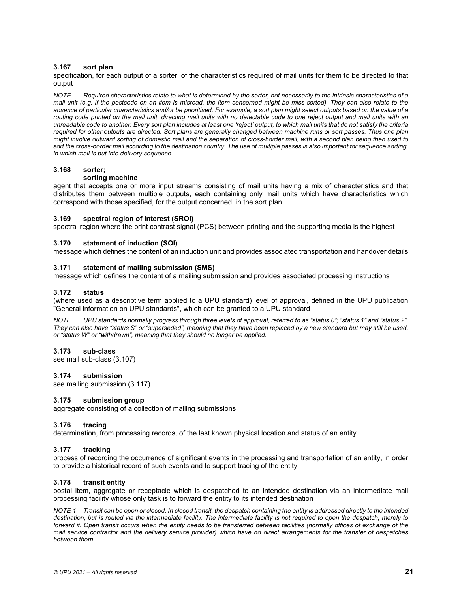# **3.167 sort plan**

specification, for each output of a sorter, of the characteristics required of mail units for them to be directed to that output

*NOTE Required characteristics relate to what is determined by the sorter, not necessarily to the intrinsic characteristics of a mail unit (e.g. if the postcode on an item is misread, the item concerned might be miss-sorted). They can also relate to the absence of particular characteristics and/or be prioritised. For example, a sort plan might select outputs based on the value of a routing code printed on the mail unit, directing mail units with no detectable code to one reject output and mail units with an unreadable code to another. Every sort plan includes at least one 'reject' output, to which mail units that do not satisfy the criteria required for other outputs are directed. Sort plans are generally changed between machine runs or sort passes. Thus one plan might involve outward sorting of domestic mail and the separation of cross-border mail, with a second plan being then used to sort the cross-border mail according to the destination country. The use of multiple passes is also important for sequence sorting, in which mail is put into delivery sequence.* 

# **3.168 sorter;**

# **sorting machine**

<span id="page-29-1"></span>agent that accepts one or more input streams consisting of mail units having a mix of characteristics and that distributes them between multiple outputs, each containing only mail units which have characteristics which correspond with those specified, for the output concerned, in the sort plan

# <span id="page-29-0"></span>**3.169 spectral region of interest (SROI)**

spectral region where the print contrast signal (PCS) between printing and the supporting media is the highest

# **3.170 statement of induction (SOI)**

message which defines the content of an induction unit and provides associated transportation and handover details

# **3.171 statement of mailing submission (SMS)**

message which defines the content of a mailing submission and provides associated processing instructions

# **3.172 status**

(where used as a descriptive term applied to a UPU standard) level of approval, defined in the UPU publication "General information on UPU standards", which can be granted to a UPU standard

*NOTE UPU standards normally progress through three levels of approval, referred to as "status 0"; "status 1" and "status 2". They can also have "status S" or "superseded", meaning that they have been replaced by a new standard but may still be used, or "status W" or "withdrawn", meaning that they should no longer be applied.* 

# **3.173 sub-[class](#page-23-0)**

see mail sub-class (3.107)

# **3.174 submissi[on](#page-24-1)**

see mailing submission (3.117)

# **3.175 submission group**

aggregate consisting of a collection of mailing submissions

# **3.176 tracing**

determination, from processing records, of the last known physical location and status of an entity

# **3.177 tracking**

process of recording the occurrence of significant events in the processing and transportation of an entity, in order to provide a historical record of such events and to support tracing of the entity

# **3.178 transit entity**

postal item, aggregate or receptacle which is despatched to an intended destination via an intermediate mail processing facility whose only task is to forward the entity to its intended destination

*NOTE 1 Transit can be open or closed. In closed transit, the despatch containing the entity is addressed directly to the intended destination, but is routed via the intermediate facility. The intermediate facility is not required to open the despatch, merely to forward it. Open transit occurs when the entity needs to be transferred between facilities (normally offices of exchange of the mail service contractor and the delivery service provider) which have no direct arrangements for the transfer of despatches between them.*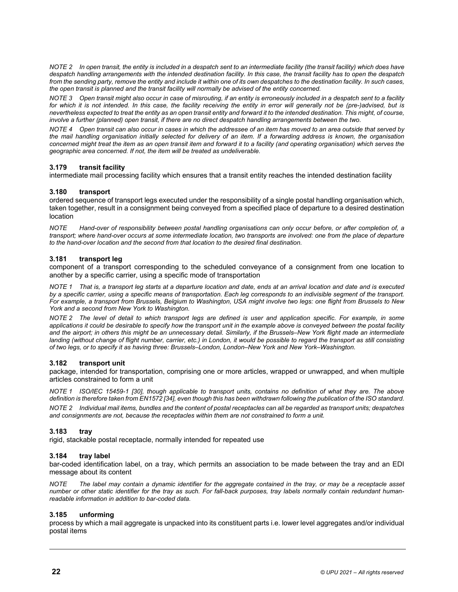*NOTE 2 In open transit, the entity is included in a despatch sent to an intermediate facility (the transit facility) which does have despatch handling arrangements with the intended destination facility. In this case, the transit facility has to open the despatch from the sending party, remove the entity and include it within one of its own despatches to the destination facility. In such cases, the open transit is planned and the transit facility will normally be advised of the entity concerned.* 

*NOTE 3 Open transit might also occur in case of misrouting, if an entity is erroneously included in a despatch sent to a facility for which it is not intended. In this case, the facility receiving the entity in error will generally not be (pre-)advised, but is nevertheless expected to treat the entity as an open transit entity and forward it to the intended destination. This might, of course, involve a further (planned) open transit, if there are no direct despatch handling arrangements between the two.* 

*NOTE 4 Open transit can also occur in cases in which the addressee of an item has moved to an area outside that served by the mail handling organisation initially selected for delivery of an item. If a forwarding address is known, the organisation concerned might treat the item as an open transit item and forward it to a facility (and operating organisation) which serves the geographic area concerned. If not, the item will be treated as undeliverable.* 

# **3.179 transit facility**

intermediate mail processing facility which ensures that a transit entity reaches the intended destination facility

# **3.180 transport**

ordered sequence of transport legs executed under the responsibility of a single postal handling organisation which, taken together, result in a consignment being conveyed from a specified place of departure to a desired destination location

*NOTE Hand-over of responsibility between postal handling organisations can only occur before, or after completion of, a transport; where hand-over occurs at some intermediate location, two transports are involved: one from the place of departure to the hand-over location and the second from that location to the desired final destination.* 

# **3.181 transport leg**

component of a transport corresponding to the scheduled conveyance of a consignment from one location to another by a specific carrier, using a specific mode of transportation

*NOTE 1 That is, a transport leg starts at a departure location and date, ends at an arrival location and date and is executed by a specific carrier, using a specific means of transportation. Each leg corresponds to an indivisible segment of the transport. For example, a transport from Brussels, Belgium to Washington, USA might involve two legs: one flight from Brussels to New York and a second from New York to Washington.* 

*NOTE 2 The level of detail to which transport legs are defined is user and application specific. For example, in some applications it could be desirable to specify how the transport unit in the example above is conveyed between the postal facility and the airport; in others this might be an unnecessary detail. Similarly, if the Brussels–New York flight made an intermediate* landing (without change of flight number, carrier, etc.) in London, it would be possible to regard the transport as still consisting *of two legs, or to specify it as having three: Brussels–London, London–New York and New York–Washington.* 

# <span id="page-30-0"></span>**3.182 transport unit**

package, intended for transportation, comprising one or more articles, wrapped or unwrapped, and when multiple articles constrained t[o form](#page-35-4) a unit

*NOTE 1 ISO/IEC 15459-1 [30], t[hough](#page-35-9) applicable to transport units, contains no definition of what they are. The above definition is therefore taken from EN1572 [34], even though this has been withdrawn following the publication of the ISO standard.* 

*NOTE 2 Individual mail items, bundles and the content of postal receptacles can all be regarded as transport units; despatches and consignments are not, because the receptacles within them are not constrained to form a unit.* 

# **3.183 tray**

rigid, stackable postal receptacle, normally intended for repeated use

#### **3.184 tray label**

bar-coded identification label, on a tray, which permits an association to be made between the tray and an EDI message about its content

*NOTE The label may contain a dynamic identifier for the aggregate contained in the tray, or may be a receptacle asset number or other static identifier for the tray as such. For fall-back purposes, tray labels normally contain redundant humanreadable information in addition to bar-coded data.* 

#### <span id="page-30-1"></span>**3.185 unforming**

process by which a mail aggregate is unpacked into its constituent parts i.e. lower level aggregates and/or individual postal items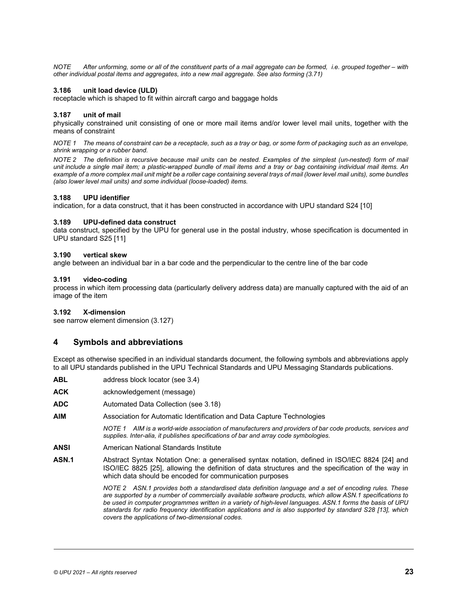<span id="page-31-1"></span>*NOTE After unforming, some or all of the constituent parts of a mail aggregate can be formed, i.e. grouped together – with other individual postal items and aggregates, into a new mail aggregate. See also forming (3.71)* 

# **3.186 unit load device (ULD)**

receptacle which is shaped to fit within aircraft cargo and baggage holds

# **3.187 unit of mail**

physically constrained unit consisting of one or more mail items and/or lower level mail units, together with the means of constraint

*NOTE 1 The means of constraint can be a receptacle, such as a tray or bag, or some form of packaging such as an envelope, shrink wrapping or a rubber band.* 

*NOTE 2 The definition is recursive because mail units can be nested. Examples of the simplest (un-nested) form of mail unit include a single mail item; a plastic-wrapped bundle of mail items and a tray or bag containing individual mail items. An example of a more complex mail unit might be a roller cage containing several trays of mail (lower level mail uni[ts\), som](#page-34-9)e bundles (also lower level mail units) and some individual (loose-loaded) items.* 

# **3.188 UPU identifier**

indication, for a data construct, that it has been constructed in accordance with UPU standard S24 [10]

# **3.189 UPU[-defin](#page-34-4)ed data construct**

data construct, specified by the UPU for general use in the postal industry, whose specification is documented in UPU standard S25 [11]

# **3.190 vertical skew**

angle between an individual bar in a bar code and the perpendicular to the centre line of the bar code

# **3.191 video-coding**

process in which item processing data (particularly delivery address data) are manually captured with the aid of an image of the item

# <span id="page-31-0"></span>**3.192 X-dimension**

see narrow element dimension (3.127)

# **4 Symbols and abbreviations**

Except as otherwise specified in an individual standards document, the following symbols and abbreviations apply to all UPU standards published in the U[PU T](#page-10-1)echnical Standards and UPU Messaging Standards publications.

- **ABL** address block locator (see 3.4)
- **ACK** acknowledgement (message)
- **ADC** Automated Data Collection (see 3.18)
- **AIM** Association for Automatic Identification and Data Capture Technologies

*NOTE 1 AIM is a world-wide association of manufacturers and providers of bar code products, services and supplies. Inter-alia, it publishes specifications of bar and array code symbologies.* 

- **ANSI** American National Standards Institute
- **ASN.1** Abstract S[yntax](#page-35-10) Notation One: a generalised syntax notation, defined in ISO/IEC 8824 [24] and ISO/IEC 8825 [25], allowing the definition of data structures and the specification of the way in which data should be encoded for communication purposes

*NOTE 2 ASN.1 provides both a standardised data definition language and a set of encoding rules. These are supported by a number of commercially available software products, which allow ASN.1 specifications to be used in computer programmes written in a variety of high-level languages. ASN.1 forms the ba[sis of](#page-34-13) UPU standards for radio frequency identification applications and is also supported by standard S28 [13], which covers the applications of two-dimensional codes.*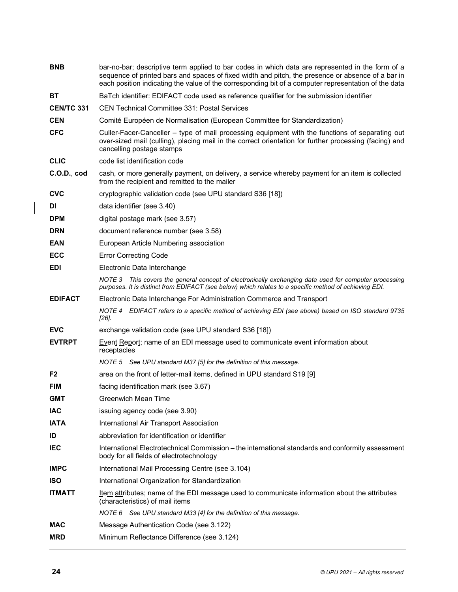| <b>BNB</b>        | bar-no-bar; descriptive term applied to bar codes in which data are represented in the form of a<br>sequence of printed bars and spaces of fixed width and pitch, the presence or absence of a bar in<br>each position indicating the value of the corresponding bit of a computer representation of the data |
|-------------------|---------------------------------------------------------------------------------------------------------------------------------------------------------------------------------------------------------------------------------------------------------------------------------------------------------------|
| <b>BT</b>         | BaTch identifier: EDIFACT code used as reference qualifier for the submission identifier                                                                                                                                                                                                                      |
| <b>CEN/TC 331</b> | <b>CEN Technical Committee 331: Postal Services</b>                                                                                                                                                                                                                                                           |
| <b>CEN</b>        | Comité Européen de Normalisation (European Committee for Standardization)                                                                                                                                                                                                                                     |
| <b>CFC</b>        | Culler-Facer-Canceller – type of mail processing equipment with the functions of separating out<br>over-sized mail (culling), placing mail in the correct orientation for further processing (facing) and<br>cancelling postage stamps                                                                        |
| <b>CLIC</b>       | code list identification code                                                                                                                                                                                                                                                                                 |
| C.O.D., cod       | cash, or more generally payment, on delivery, a service whereby payment for an item is collected<br>from the recipient and remitted to the mailer                                                                                                                                                             |
| <b>CVC</b>        | cryptographic validation code (see UPU standard S36 [18])                                                                                                                                                                                                                                                     |
| DI.               | data identifier (see 3.40)                                                                                                                                                                                                                                                                                    |
| <b>DPM</b>        | digital postage mark (see 3.57)                                                                                                                                                                                                                                                                               |
| <b>DRN</b>        | document reference number (see 3.58)                                                                                                                                                                                                                                                                          |
| <b>EAN</b>        | European Article Numbering association                                                                                                                                                                                                                                                                        |
| <b>ECC</b>        | <b>Error Correcting Code</b>                                                                                                                                                                                                                                                                                  |
| <b>EDI</b>        | Electronic Data Interchange                                                                                                                                                                                                                                                                                   |
|                   | NOTE 3 This covers the general concept of electronically exchanging data used for computer processing<br>purposes. It is distinct from EDIFACT (see below) which relates to a specific method of achieving EDI.                                                                                               |
| <b>EDIFACT</b>    | Electronic Data Interchange For Administration Commerce and Transport                                                                                                                                                                                                                                         |
|                   | NOTE 4 EDIFACT refers to a specific method of achieving EDI (see above) based on ISO standard 9735<br>[26]                                                                                                                                                                                                    |
| <b>EVC</b>        | exchange validation code (see UPU standard S36 [18])                                                                                                                                                                                                                                                          |
| <b>EVTRPT</b>     | <b>Event Report; name of an EDI message used to communicate event information about</b><br>receptacles                                                                                                                                                                                                        |
|                   | NOTE 5 See UPU standard M37 [5] for the definition of this message.                                                                                                                                                                                                                                           |
| F <sub>2</sub>    | area on the front of letter-mail items, defined in UPU standard S19 [9]                                                                                                                                                                                                                                       |
| <b>FIM</b>        | facing identification mark (see 3.67)                                                                                                                                                                                                                                                                         |
| <b>GMT</b>        | Greenwich Mean Time                                                                                                                                                                                                                                                                                           |
| <b>IAC</b>        | issuing agency code (see 3.90)                                                                                                                                                                                                                                                                                |
| <b>IATA</b>       | International Air Transport Association                                                                                                                                                                                                                                                                       |
| ID                | abbreviation for identification or identifier                                                                                                                                                                                                                                                                 |
| IEC               | International Electrotechnical Commission - the international standards and conformity assessment<br>body for all fields of electrotechnology                                                                                                                                                                 |
| <b>IMPC</b>       | International Mail Processing Centre (see 3.104)                                                                                                                                                                                                                                                              |
| <b>ISO</b>        | International Organization for Standardization                                                                                                                                                                                                                                                                |
| <b>ITMATT</b>     | Item attributes; name of the EDI message used to communicate information about the attributes<br>(characteristics) of mail items                                                                                                                                                                              |
|                   | NOTE 6 See UPU standard M33 [4] for the definition of this message.                                                                                                                                                                                                                                           |
| <b>MAC</b>        | Message Authentication Code (see 3.122)                                                                                                                                                                                                                                                                       |
| <b>MRD</b>        | Minimum Reflectance Difference (see 3.124)                                                                                                                                                                                                                                                                    |

 $\begin{array}{c} \hline \end{array}$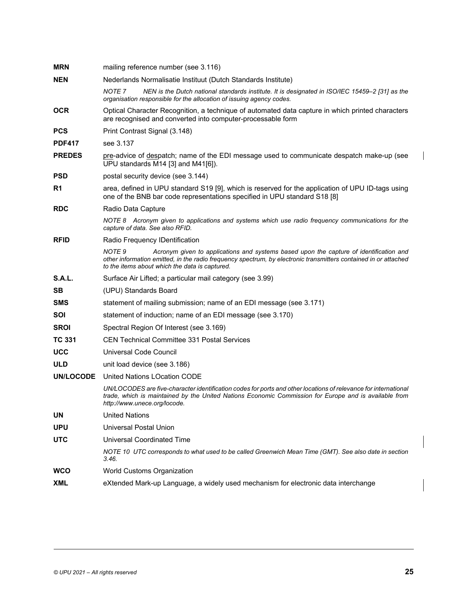| <b>MRN</b>    | mailing reference number (see 3.116)                                                                                                                                                                                                                                             |
|---------------|----------------------------------------------------------------------------------------------------------------------------------------------------------------------------------------------------------------------------------------------------------------------------------|
| <b>NEN</b>    | Nederlands Normalisatie Instituut (Dutch Standards Institute)                                                                                                                                                                                                                    |
|               | NOTE <sub>7</sub><br>NEN is the Dutch national standards institute. It is designated in ISO/IEC 15459-2 [31] as the<br>organisation responsible for the allocation of issuing agency codes.                                                                                      |
| <b>OCR</b>    | Optical Character Recognition, a technique of automated data capture in which printed characters<br>are recognised and converted into computer-processable form                                                                                                                  |
| <b>PCS</b>    | Print Contrast Signal (3.148)                                                                                                                                                                                                                                                    |
| <b>PDF417</b> | see 3.137                                                                                                                                                                                                                                                                        |
| <b>PREDES</b> | pre-advice of despatch; name of the EDI message used to communicate despatch make-up (see<br>UPU standards M14 [3] and M41[6]).                                                                                                                                                  |
| <b>PSD</b>    | postal security device (see 3.144)                                                                                                                                                                                                                                               |
| R1            | area, defined in UPU standard S19 [9], which is reserved for the application of UPU ID-tags using<br>one of the BNB bar code representations specified in UPU standard S18 [8]                                                                                                   |
| <b>RDC</b>    | Radio Data Capture                                                                                                                                                                                                                                                               |
|               | NOTE 8 Acronym given to applications and systems which use radio frequency communications for the<br>capture of data. See also RFID.                                                                                                                                             |
| <b>RFID</b>   | Radio Frequency IDentification                                                                                                                                                                                                                                                   |
|               | NOTE <sub>9</sub><br>Acronym given to applications and systems based upon the capture of identification and<br>other information emitted, in the radio frequency spectrum, by electronic transmitters contained in or attached<br>to the items about which the data is captured. |
| <b>S.A.L.</b> | Surface Air Lifted; a particular mail category (see 3.99)                                                                                                                                                                                                                        |
| SB.           | (UPU) Standards Board                                                                                                                                                                                                                                                            |
| <b>SMS</b>    | statement of mailing submission; name of an EDI message (see 3.171)                                                                                                                                                                                                              |
| SOI           | statement of induction; name of an EDI message (see 3.170)                                                                                                                                                                                                                       |
| <b>SROI</b>   | Spectral Region Of Interest (see 3.169)                                                                                                                                                                                                                                          |
| <b>TC 331</b> | <b>CEN Technical Committee 331 Postal Services</b>                                                                                                                                                                                                                               |
| <b>UCC</b>    | Universal Code Council                                                                                                                                                                                                                                                           |
| <b>ULD</b>    | unit load device (see 3.186)                                                                                                                                                                                                                                                     |
| UN/LOCODE     | United Nations LOcation CODE                                                                                                                                                                                                                                                     |
|               | UN/LOCODES are five-character identification codes for ports and other locations of relevance for international<br>trade, which is maintained by the United Nations Economic Commission for Europe and is available from<br>http://www.unece.org/locode.                         |
| UN            | <b>United Nations</b>                                                                                                                                                                                                                                                            |
| <b>UPU</b>    | <b>Universal Postal Union</b>                                                                                                                                                                                                                                                    |
| <b>UTC</b>    | <b>Universal Coordinated Time</b>                                                                                                                                                                                                                                                |
|               | NOTE 10 UTC corresponds to what used to be called Greenwich Mean Time (GMT). See also date in section<br>3.46.                                                                                                                                                                   |
| <b>WCO</b>    | World Customs Organization                                                                                                                                                                                                                                                       |
| <b>XML</b>    | eXtended Mark-up Language, a widely used mechanism for electronic data interchange                                                                                                                                                                                               |

 $\mathbf{I}$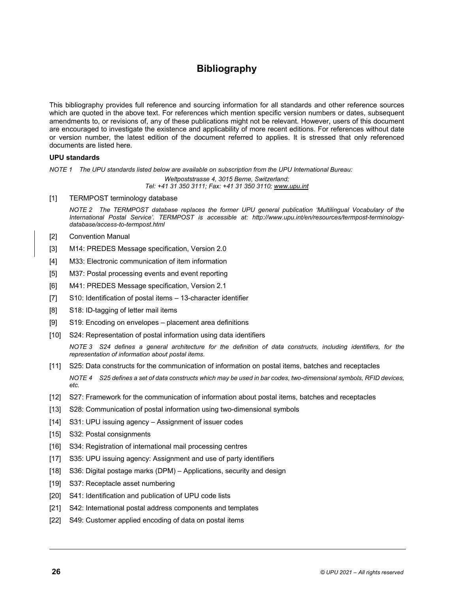# **Bibliography**

This bibliography provides full reference and sourcing information for all standards and other reference sources which are quoted in the above text. For references which mention specific version numbers or dates, subsequent amendments to, or revisions of, any of these publications might not be relevant. However, users of this document are encouraged to investigate the existence and applicability of more recent editions. For references without date or version number, the latest edition of the document referred to applies. It is stressed that only referenced documents are listed here.

# **UPU standards**

<span id="page-34-0"></span>*NOTE 1 The UPU standards listed below are available on subscription from the UPU International Bureau:* 

*Weltpoststrasse 4, 3015 Berne, Switzerland; Tel: +41 31 350 3111; Fax: +41 31 350 3110; www.upu.int*

[1] TERMPOST terminology database

*NOTE 2 The TERMPOST database replaces the former UPU general publication 'Multilingual Vocabulary of the International Postal Service'. TERMPOST is accessible at: http://www.upu.int/en/resources/termpost-terminologydatabase/access-to-termpost.html* 

- <span id="page-34-16"></span><span id="page-34-7"></span>[2] Convention Manual
- <span id="page-34-15"></span>[3] M14: PREDES Message specification, Version 2.0
- [4] M33: Electronic communication of item information
- <span id="page-34-11"></span>[5] M37: Postal processing events and event reporting
- [6] M41: PREDES Message specification, Version 2.1
- [7] S10: Identification of postal items 13-character identifier
- <span id="page-34-2"></span>[8] S18: ID-tagging of letter mail items
- <span id="page-34-9"></span>[9] S19: Encoding on envelopes – placement area definitions
- <span id="page-34-4"></span>[10] S24: Representation of postal information using data identifiers

*NOTE 3 S24 defines a general architecture for the definition of data constructs, including identifiers, for the representation of information about postal items.* 

- <span id="page-34-8"></span>[11] S25: Data constructs for the communication of information on postal items, batches and receptacles *NOTE 4 S25 defines a set of data constructs which may be used in bar codes, two-dimensional symbols, RFID devices, etc.*
- <span id="page-34-13"></span>[12] S27: Framework for the communication of information about postal items, batches and receptacles
- <span id="page-34-10"></span>[13] S28: Communication of postal information using two-dimensional symbols
- [14] S31: UPU issuing agency Assignment of issuer codes
- <span id="page-34-6"></span>[15] S32: Postal consignments
- <span id="page-34-12"></span>[16] S34: Registration of international mail processing centres
- <span id="page-34-14"></span>[17] S35: UPU issuing agency: Assignment and use of party identifiers
- [18] S36: Digital postage marks (DPM) Applications, security and design
- <span id="page-34-5"></span>[19] S37: Receptacle asset numbering
- [20] S41: Identification and publication of UPU code lists
- <span id="page-34-3"></span>[21] S42: International postal address components and templates
- <span id="page-34-1"></span>[22] S49: Customer applied encoding of data on postal items